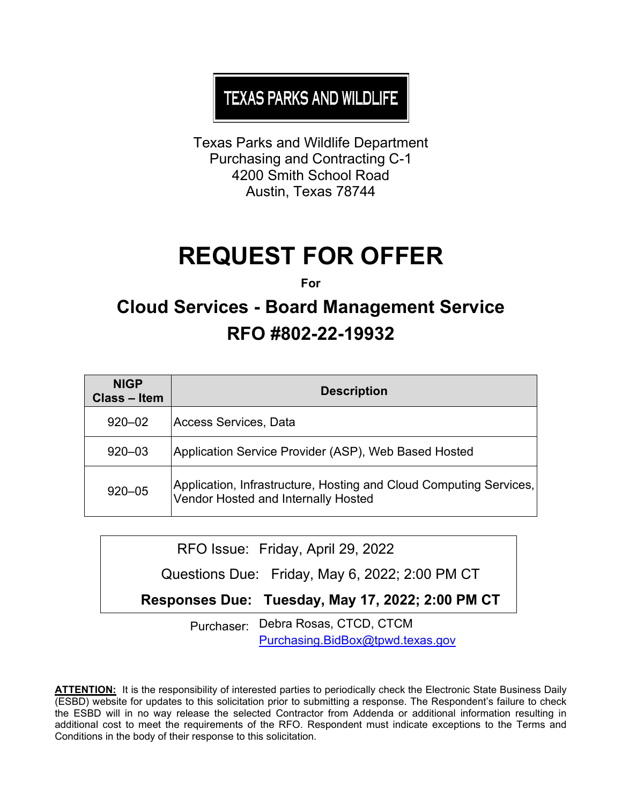# **TEXAS PARKS AND WILDLIFE**

Texas Parks and Wildlife Department Purchasing and Contracting C-1 4200 Smith School Road Austin, Texas 78744

# **REQUEST FOR OFFER**

**For**

# **Cloud Services - Board Management Service RFO #802-22-19932**

| <b>NIGP</b><br>Class – Item | <b>Description</b>                                                                                        |
|-----------------------------|-----------------------------------------------------------------------------------------------------------|
| $920 - 02$                  | Access Services, Data                                                                                     |
| $920 - 03$                  | Application Service Provider (ASP), Web Based Hosted                                                      |
| $920 - 05$                  | Application, Infrastructure, Hosting and Cloud Computing Services,<br>Vendor Hosted and Internally Hosted |

RFO Issue: Friday, April 29, 2022

Questions Due: Friday, May 6, 2022; 2:00 PM CT

**Responses Due: Tuesday, May 17, 2022; 2:00 PM CT** 

Purchaser: Debra Rosas, CTCD, CTCM [Purchasing.BidBox@tpwd.texas.gov](mailto:Purchasing.BidBox@tpwd.texas.gov)

**ATTENTION:** It is the responsibility of interested parties to periodically check the Electronic State Business Daily (ESBD) website for updates to this solicitation prior to submitting a response. The Respondent's failure to check the ESBD will in no way release the selected Contractor from Addenda or additional information resulting in additional cost to meet the requirements of the RFO. Respondent must indicate exceptions to the Terms and Conditions in the body of their response to this solicitation.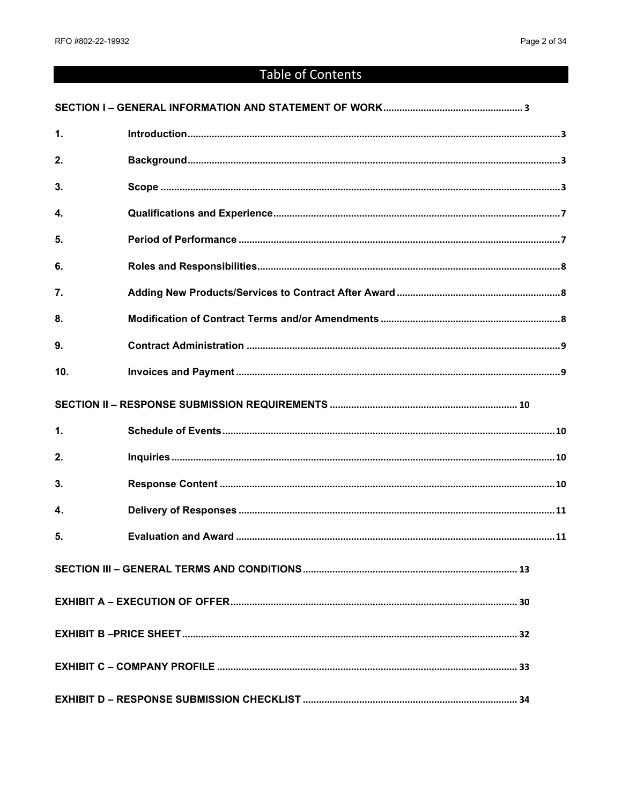# Table of Contents

| $\mathbf{1}$       |  |
|--------------------|--|
| 2.                 |  |
| 3.                 |  |
| 4.                 |  |
| 5.                 |  |
| 6.                 |  |
| 7.                 |  |
| 8.                 |  |
| 9.                 |  |
| 10 <sub>1</sub>    |  |
|                    |  |
| 1.                 |  |
| 2.                 |  |
| 3.                 |  |
| $\boldsymbol{4}$ . |  |
| 5.                 |  |
|                    |  |
|                    |  |
|                    |  |
|                    |  |
|                    |  |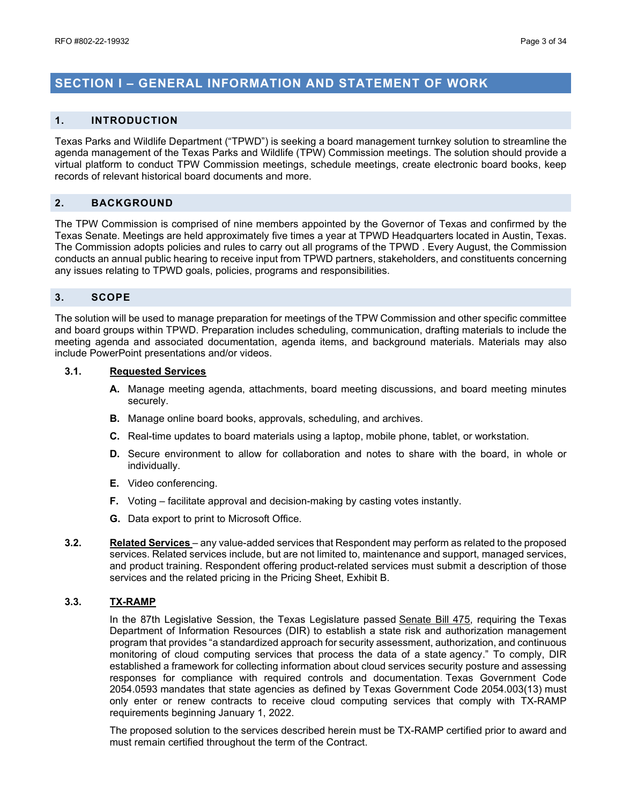### <span id="page-2-0"></span>**SECTION I – GENERAL INFORMATION AND STATEMENT OF WORK**

#### <span id="page-2-1"></span>**1. INTRODUCTION**

Texas Parks and Wildlife Department ("TPWD") is seeking a board management turnkey solution to streamline the agenda management of the Texas Parks and Wildlife (TPW) Commission meetings. The solution should provide a virtual platform to conduct TPW Commission meetings, schedule meetings, create electronic board books, keep records of relevant historical board documents and more.

#### <span id="page-2-2"></span>**2. BACKGROUND**

The TPW Commission is comprised of nine members appointed by the Governor of Texas and confirmed by the Texas Senate. Meetings are held approximately five times a year at TPWD Headquarters located in Austin, Texas. The Commission adopts policies and rules to carry out all programs of the TPWD . Every August, the Commission conducts an annual public hearing to receive input from TPWD partners, stakeholders, and constituents concerning any issues relating to TPWD goals, policies, programs and responsibilities.

#### <span id="page-2-3"></span>**3. SCOPE**

The solution will be used to manage preparation for meetings of the TPW Commission and other specific committee and board groups within TPWD. Preparation includes scheduling, communication, drafting materials to include the meeting agenda and associated documentation, agenda items, and background materials. Materials may also include PowerPoint presentations and/or videos.

#### **3.1. Requested Services**

- **A.** Manage meeting agenda, attachments, board meeting discussions, and board meeting minutes securely.
- **B.** Manage online board books, approvals, scheduling, and archives.
- **C.** Real-time updates to board materials using a laptop, mobile phone, tablet, or workstation.
- **D.** Secure environment to allow for collaboration and notes to share with the board, in whole or individually.
- **E.** Video conferencing.
- **F.** Voting facilitate approval and decision-making by casting votes instantly.
- **G.** Data export to print to Microsoft Office.
- **3.2. Related Services** any value-added services that Respondent may perform as related to the proposed services. Related services include, but are not limited to, maintenance and support, managed services, and product training. Respondent offering product-related services must submit a description of those services and the related pricing in the Pricing Sheet, Exhibit B.

#### **3.3. TX-RAMP**

In the 87th Legislative Session, the Texas Legislature passed [Senate Bill 475,](https://capitol.texas.gov/tlodocs/87R/billtext/pdf/SB00475F.pdf#navpanes=0) requiring the Texas Department of Information Resources (DIR) to establish a state risk and authorization management program that provides "a standardized approach for security assessment, authorization, and continuous monitoring of cloud computing services that process the data of a state agency." To comply, DIR established a framework for collecting information about cloud services security posture and assessing responses for compliance with required controls and documentation. Texas Government Code 2054.0593 mandates that state agencies as defined by Texas Government Code 2054.003(13) must only enter or renew contracts to receive cloud computing services that comply with TX-RAMP requirements beginning January 1, 2022.

The proposed solution to the services described herein must be TX-RAMP certified prior to award and must remain certified throughout the term of the Contract.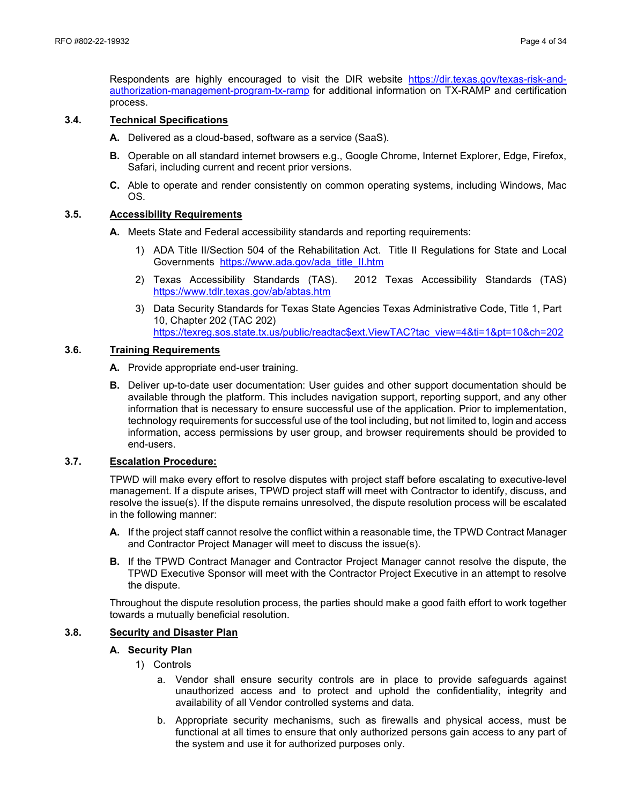Respondents are highly encouraged to visit the DIR website [https://dir.texas.gov/texas-risk-and](https://dir.texas.gov/texas-risk-and-authorization-management-program-tx-ramp)[authorization-management-program-tx-ramp](https://dir.texas.gov/texas-risk-and-authorization-management-program-tx-ramp) for additional information on TX-RAMP and certification process.

#### **3.4. Technical Specifications**

- **A.** Delivered as a cloud-based, software as a service (SaaS).
- **B.** Operable on all standard internet browsers e.g., Google Chrome, Internet Explorer, Edge, Firefox, Safari, including current and recent prior versions.
- **C.** Able to operate and render consistently on common operating systems, including Windows, Mac OS.

#### **3.5. Accessibility Requirements**

- **A.** Meets State and Federal accessibility standards and reporting requirements:
	- 1) ADA Title II/Section 504 of the Rehabilitation Act. Title II Regulations for State and Local Governments [https://www.ada.gov/ada\\_title\\_II.htm](https://www.ada.gov/ada_title_II.htm)
	- 2) Texas Accessibility Standards (TAS). 2012 Texas Accessibility Standards (TAS) <https://www.tdlr.texas.gov/ab/abtas.htm>
	- 3) Data Security Standards for Texas State Agencies Texas Administrative Code, Title 1, Part 10, Chapter 202 (TAC 202) [https://texreg.sos.state.tx.us/public/readtac\\$ext.ViewTAC?tac\\_view=4&ti=1&pt=10&ch=202](https://texreg.sos.state.tx.us/public/readtac$ext.ViewTAC?tac_view=4&ti=1&pt=10&ch=202)

#### **3.6. Training Requirements**

- **A.** Provide appropriate end-user training.
- **B.** Deliver up-to-date user documentation: User guides and other support documentation should be available through the platform. This includes navigation support, reporting support, and any other information that is necessary to ensure successful use of the application. Prior to implementation, technology requirements for successful use of the tool including, but not limited to, login and access information, access permissions by user group, and browser requirements should be provided to end-users.

#### **3.7. Escalation Procedure:**

TPWD will make every effort to resolve disputes with project staff before escalating to executive-level management. If a dispute arises, TPWD project staff will meet with Contractor to identify, discuss, and resolve the issue(s). If the dispute remains unresolved, the dispute resolution process will be escalated in the following manner:

- **A.** If the project staff cannot resolve the conflict within a reasonable time, the TPWD Contract Manager and Contractor Project Manager will meet to discuss the issue(s).
- **B.** If the TPWD Contract Manager and Contractor Project Manager cannot resolve the dispute, the TPWD Executive Sponsor will meet with the Contractor Project Executive in an attempt to resolve the dispute.

Throughout the dispute resolution process, the parties should make a good faith effort to work together towards a mutually beneficial resolution.

#### **3.8. Security and Disaster Plan**

#### **A. Security Plan**

- 1) Controls
	- a. Vendor shall ensure security controls are in place to provide safeguards against unauthorized access and to protect and uphold the confidentiality, integrity and availability of all Vendor controlled systems and data.
	- b. Appropriate security mechanisms, such as firewalls and physical access, must be functional at all times to ensure that only authorized persons gain access to any part of the system and use it for authorized purposes only.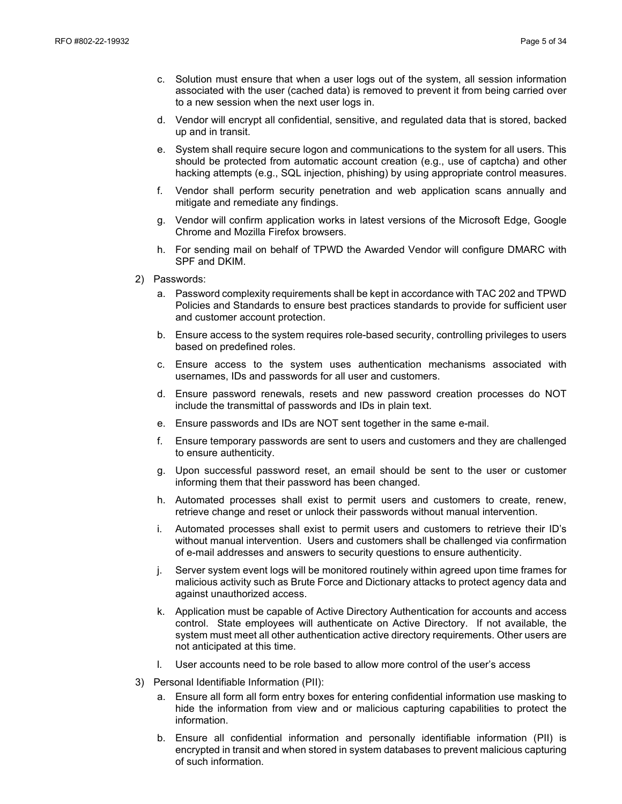- c. Solution must ensure that when a user logs out of the system, all session information associated with the user (cached data) is removed to prevent it from being carried over to a new session when the next user logs in.
- d. Vendor will encrypt all confidential, sensitive, and regulated data that is stored, backed up and in transit.
- e. System shall require secure logon and communications to the system for all users. This should be protected from automatic account creation (e.g., use of captcha) and other hacking attempts (e.g., SQL injection, phishing) by using appropriate control measures.
- f. Vendor shall perform security penetration and web application scans annually and mitigate and remediate any findings.
- g. Vendor will confirm application works in latest versions of the Microsoft Edge, Google Chrome and Mozilla Firefox browsers.
- h. For sending mail on behalf of TPWD the Awarded Vendor will configure DMARC with SPF and DKIM.
- 2) Passwords:
	- a. Password complexity requirements shall be kept in accordance with TAC 202 and TPWD Policies and Standards to ensure best practices standards to provide for sufficient user and customer account protection.
	- b. Ensure access to the system requires role-based security, controlling privileges to users based on predefined roles.
	- c. Ensure access to the system uses authentication mechanisms associated with usernames, IDs and passwords for all user and customers.
	- d. Ensure password renewals, resets and new password creation processes do NOT include the transmittal of passwords and IDs in plain text.
	- e. Ensure passwords and IDs are NOT sent together in the same e-mail.
	- f. Ensure temporary passwords are sent to users and customers and they are challenged to ensure authenticity.
	- g. Upon successful password reset, an email should be sent to the user or customer informing them that their password has been changed.
	- h. Automated processes shall exist to permit users and customers to create, renew, retrieve change and reset or unlock their passwords without manual intervention.
	- i. Automated processes shall exist to permit users and customers to retrieve their ID's without manual intervention. Users and customers shall be challenged via confirmation of e-mail addresses and answers to security questions to ensure authenticity.
	- j. Server system event logs will be monitored routinely within agreed upon time frames for malicious activity such as Brute Force and Dictionary attacks to protect agency data and against unauthorized access.
	- k. Application must be capable of Active Directory Authentication for accounts and access control. State employees will authenticate on Active Directory. If not available, the system must meet all other authentication active directory requirements. Other users are not anticipated at this time.
	- l. User accounts need to be role based to allow more control of the user's access
- 3) Personal Identifiable Information (PII):
	- a. Ensure all form all form entry boxes for entering confidential information use masking to hide the information from view and or malicious capturing capabilities to protect the information.
	- b. Ensure all confidential information and personally identifiable information (PII) is encrypted in transit and when stored in system databases to prevent malicious capturing of such information.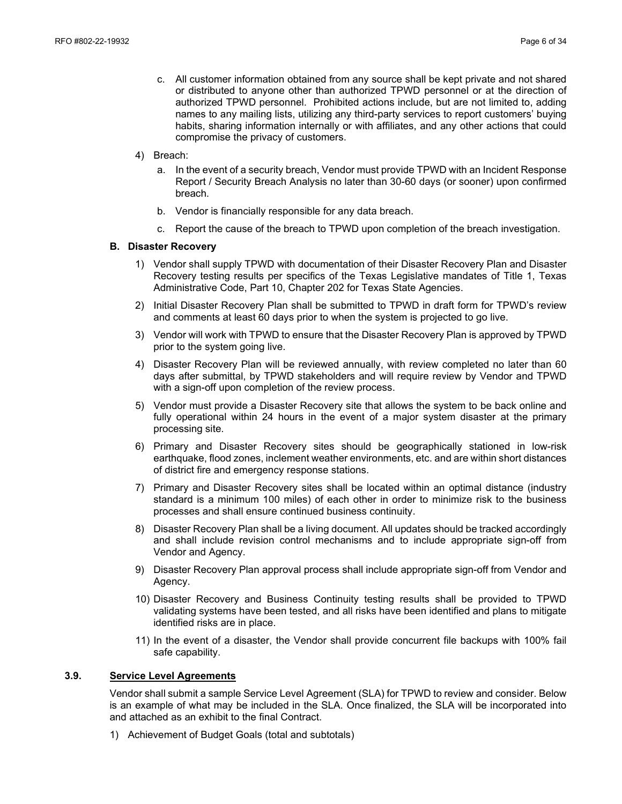- c. All customer information obtained from any source shall be kept private and not shared or distributed to anyone other than authorized TPWD personnel or at the direction of authorized TPWD personnel. Prohibited actions include, but are not limited to, adding names to any mailing lists, utilizing any third-party services to report customers' buying habits, sharing information internally or with affiliates, and any other actions that could compromise the privacy of customers.
- 4) Breach:
	- a. In the event of a security breach, Vendor must provide TPWD with an Incident Response Report / Security Breach Analysis no later than 30-60 days (or sooner) upon confirmed breach.
	- b. Vendor is financially responsible for any data breach.
	- c. Report the cause of the breach to TPWD upon completion of the breach investigation.

#### **B. Disaster Recovery**

- 1) Vendor shall supply TPWD with documentation of their Disaster Recovery Plan and Disaster Recovery testing results per specifics of the Texas Legislative mandates of Title 1, Texas Administrative Code, Part 10, Chapter 202 for Texas State Agencies.
- 2) Initial Disaster Recovery Plan shall be submitted to TPWD in draft form for TPWD's review and comments at least 60 days prior to when the system is projected to go live.
- 3) Vendor will work with TPWD to ensure that the Disaster Recovery Plan is approved by TPWD prior to the system going live.
- 4) Disaster Recovery Plan will be reviewed annually, with review completed no later than 60 days after submittal, by TPWD stakeholders and will require review by Vendor and TPWD with a sign-off upon completion of the review process.
- 5) Vendor must provide a Disaster Recovery site that allows the system to be back online and fully operational within 24 hours in the event of a major system disaster at the primary processing site.
- 6) Primary and Disaster Recovery sites should be geographically stationed in low-risk earthquake, flood zones, inclement weather environments, etc. and are within short distances of district fire and emergency response stations.
- 7) Primary and Disaster Recovery sites shall be located within an optimal distance (industry standard is a minimum 100 miles) of each other in order to minimize risk to the business processes and shall ensure continued business continuity.
- 8) Disaster Recovery Plan shall be a living document. All updates should be tracked accordingly and shall include revision control mechanisms and to include appropriate sign-off from Vendor and Agency.
- 9) Disaster Recovery Plan approval process shall include appropriate sign-off from Vendor and Agency.
- 10) Disaster Recovery and Business Continuity testing results shall be provided to TPWD validating systems have been tested, and all risks have been identified and plans to mitigate identified risks are in place.
- 11) In the event of a disaster, the Vendor shall provide concurrent file backups with 100% fail safe capability.

#### **3.9. Service Level Agreements**

Vendor shall submit a sample Service Level Agreement (SLA) for TPWD to review and consider. Below is an example of what may be included in the SLA. Once finalized, the SLA will be incorporated into and attached as an exhibit to the final Contract.

1) Achievement of Budget Goals (total and subtotals)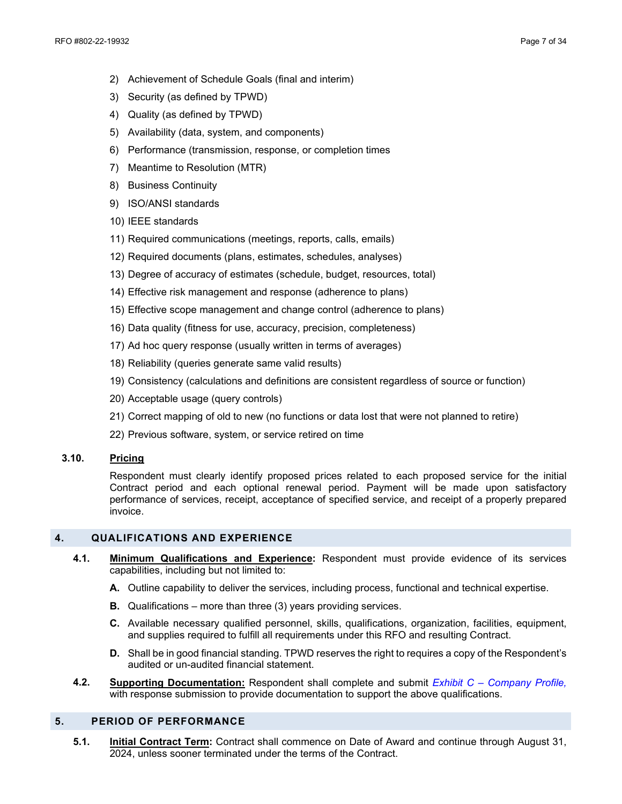- 2) Achievement of Schedule Goals (final and interim)
- 3) Security (as defined by TPWD)
- 4) Quality (as defined by TPWD)
- 5) Availability (data, system, and components)
- 6) Performance (transmission, response, or completion times
- 7) Meantime to Resolution (MTR)
- 8) Business Continuity
- 9) ISO/ANSI standards
- 10) IEEE standards
- 11) Required communications (meetings, reports, calls, emails)
- 12) Required documents (plans, estimates, schedules, analyses)
- 13) Degree of accuracy of estimates (schedule, budget, resources, total)
- 14) Effective risk management and response (adherence to plans)
- 15) Effective scope management and change control (adherence to plans)
- 16) Data quality (fitness for use, accuracy, precision, completeness)
- 17) Ad hoc query response (usually written in terms of averages)
- 18) Reliability (queries generate same valid results)
- 19) Consistency (calculations and definitions are consistent regardless of source or function)
- 20) Acceptable usage (query controls)
- 21) Correct mapping of old to new (no functions or data lost that were not planned to retire)
- 22) Previous software, system, or service retired on time

#### **3.10. Pricing**

Respondent must clearly identify proposed prices related to each proposed service for the initial Contract period and each optional renewal period. Payment will be made upon satisfactory performance of services, receipt, acceptance of specified service, and receipt of a properly prepared invoice.

#### <span id="page-6-0"></span>**4. QUALIFICATIONS AND EXPERIENCE**

- **4.1. Minimum Qualifications and Experience:** Respondent must provide evidence of its services capabilities, including but not limited to:
	- **A.** Outline capability to deliver the services, including process, functional and technical expertise.
	- **B.** Qualifications more than three (3) years providing services.
	- **C.** Available necessary qualified personnel, skills, qualifications, organization, facilities, equipment, and supplies required to fulfill all requirements under this RFO and resulting Contract.
	- **D.** Shall be in good financial standing. TPWD reserves the right to requires a copy of the Respondent's audited or un-audited financial statement.
- **4.2. Supporting Documentation:** Respondent shall complete and submit *Exhibit C Company Profile,*  with response submission to provide documentation to support the above qualifications.

#### <span id="page-6-1"></span>**5. PERIOD OF PERFORMANCE**

**5.1. Initial Contract Term:** Contract shall commence on Date of Award and continue through August 31, 2024, unless sooner terminated under the terms of the Contract.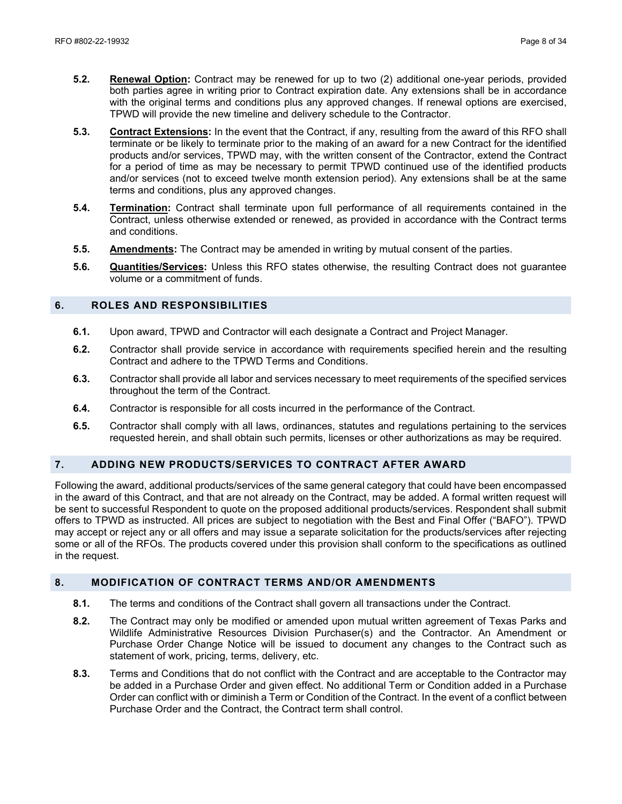- **5.2. Renewal Option:** Contract may be renewed for up to two (2) additional one-year periods, provided both parties agree in writing prior to Contract expiration date. Any extensions shall be in accordance with the original terms and conditions plus any approved changes. If renewal options are exercised, TPWD will provide the new timeline and delivery schedule to the Contractor.
- **5.3. Contract Extensions:** In the event that the Contract, if any, resulting from the award of this RFO shall terminate or be likely to terminate prior to the making of an award for a new Contract for the identified products and/or services, TPWD may, with the written consent of the Contractor, extend the Contract for a period of time as may be necessary to permit TPWD continued use of the identified products and/or services (not to exceed twelve month extension period). Any extensions shall be at the same terms and conditions, plus any approved changes.
- **5.4. Termination:** Contract shall terminate upon full performance of all requirements contained in the Contract, unless otherwise extended or renewed, as provided in accordance with the Contract terms and conditions.
- **5.5. Amendments:** The Contract may be amended in writing by mutual consent of the parties.
- **5.6. Quantities/Services:** Unless this RFO states otherwise, the resulting Contract does not guarantee volume or a commitment of funds.

#### <span id="page-7-0"></span>**6. ROLES AND RESPONSIBILITIES**

- **6.1.** Upon award, TPWD and Contractor will each designate a Contract and Project Manager.
- **6.2.** Contractor shall provide service in accordance with requirements specified herein and the resulting Contract and adhere to the TPWD Terms and Conditions.
- **6.3.** Contractor shall provide all labor and services necessary to meet requirements of the specified services throughout the term of the Contract.
- **6.4.** Contractor is responsible for all costs incurred in the performance of the Contract.
- **6.5.** Contractor shall comply with all laws, ordinances, statutes and regulations pertaining to the services requested herein, and shall obtain such permits, licenses or other authorizations as may be required.

### <span id="page-7-1"></span>**7. ADDING NEW PRODUCTS/SERVICES TO CONTRACT AFTER AWARD**

Following the award, additional products/services of the same general category that could have been encompassed in the award of this Contract, and that are not already on the Contract, may be added. A formal written request will be sent to successful Respondent to quote on the proposed additional products/services. Respondent shall submit offers to TPWD as instructed. All prices are subject to negotiation with the Best and Final Offer ("BAFO"). TPWD may accept or reject any or all offers and may issue a separate solicitation for the products/services after rejecting some or all of the RFOs. The products covered under this provision shall conform to the specifications as outlined in the request.

#### <span id="page-7-2"></span>**8. MODIFICATION OF CONTRACT TERMS AND/OR AMENDMENTS**

- **8.1.** The terms and conditions of the Contract shall govern all transactions under the Contract.
- **8.2.** The Contract may only be modified or amended upon mutual written agreement of Texas Parks and Wildlife Administrative Resources Division Purchaser(s) and the Contractor. An Amendment or Purchase Order Change Notice will be issued to document any changes to the Contract such as statement of work, pricing, terms, delivery, etc.
- **8.3.** Terms and Conditions that do not conflict with the Contract and are acceptable to the Contractor may be added in a Purchase Order and given effect. No additional Term or Condition added in a Purchase Order can conflict with or diminish a Term or Condition of the Contract. In the event of a conflict between Purchase Order and the Contract, the Contract term shall control.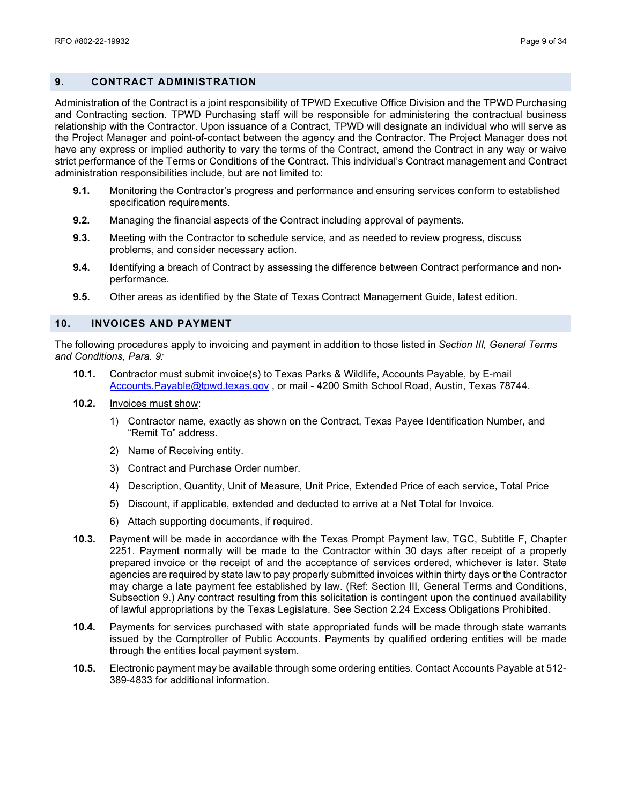#### <span id="page-8-0"></span>**9. CONTRACT ADMINISTRATION**

Administration of the Contract is a joint responsibility of TPWD Executive Office Division and the TPWD Purchasing and Contracting section. TPWD Purchasing staff will be responsible for administering the contractual business relationship with the Contractor. Upon issuance of a Contract, TPWD will designate an individual who will serve as the Project Manager and point-of-contact between the agency and the Contractor. The Project Manager does not have any express or implied authority to vary the terms of the Contract, amend the Contract in any way or waive strict performance of the Terms or Conditions of the Contract. This individual's Contract management and Contract administration responsibilities include, but are not limited to:

- **9.1.** Monitoring the Contractor's progress and performance and ensuring services conform to established specification requirements.
- **9.2.** Managing the financial aspects of the Contract including approval of payments.
- **9.3.** Meeting with the Contractor to schedule service, and as needed to review progress, discuss problems, and consider necessary action.
- **9.4.** Identifying a breach of Contract by assessing the difference between Contract performance and nonperformance.
- **9.5.** Other areas as identified by the State of Texas Contract Management Guide, latest edition.

#### <span id="page-8-1"></span>**10. INVOICES AND PAYMENT**

The following procedures apply to invoicing and payment in addition to those listed in *Section III, General Terms and Conditions, Para. 9:*

- **10.1.** Contractor must submit invoice(s) to Texas Parks & Wildlife, Accounts Payable, by E-mail [Accounts.Payable@tpwd.texas.gov](mailto:Accounts.Payable@tpwd.texas.gov), or mail - 4200 Smith School Road, Austin, Texas 78744.
- **10.2.** Invoices must show:
	- 1) Contractor name, exactly as shown on the Contract, Texas Payee Identification Number, and "Remit To" address.
	- 2) Name of Receiving entity.
	- 3) Contract and Purchase Order number.
	- 4) Description, Quantity, Unit of Measure, Unit Price, Extended Price of each service, Total Price
	- 5) Discount, if applicable, extended and deducted to arrive at a Net Total for Invoice.
	- 6) Attach supporting documents, if required.
- **10.3.** Payment will be made in accordance with the Texas Prompt Payment law, TGC, Subtitle F, Chapter 2251. Payment normally will be made to the Contractor within 30 days after receipt of a properly prepared invoice or the receipt of and the acceptance of services ordered, whichever is later. State agencies are required by state law to pay properly submitted invoices within thirty days or the Contractor may charge a late payment fee established by law. (Ref: Section III, General Terms and Conditions, Subsection 9.) Any contract resulting from this solicitation is contingent upon the continued availability of lawful appropriations by the Texas Legislature. See Section 2.24 Excess Obligations Prohibited.
- **10.4.** Payments for services purchased with state appropriated funds will be made through state warrants issued by the Comptroller of Public Accounts. Payments by qualified ordering entities will be made through the entities local payment system.
- **10.5.** Electronic payment may be available through some ordering entities. Contact Accounts Payable at 512- 389-4833 for additional information.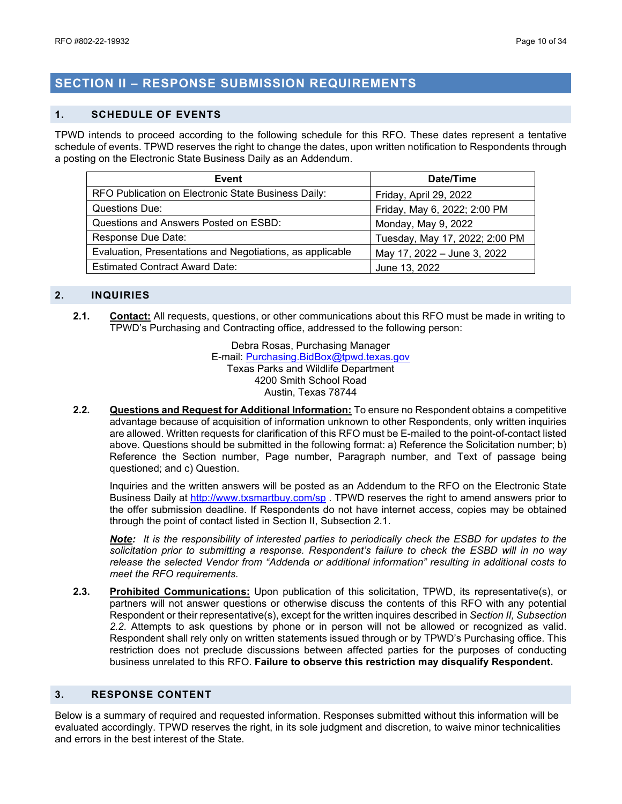# <span id="page-9-0"></span>**SECTION II – RESPONSE SUBMISSION REQUIREMENTS**

#### <span id="page-9-1"></span>**1. SCHEDULE OF EVENTS**

TPWD intends to proceed according to the following schedule for this RFO. These dates represent a tentative schedule of events. TPWD reserves the right to change the dates, upon written notification to Respondents through a posting on the Electronic State Business Daily as an Addendum.

| Event                                                     | Date/Time                      |  |
|-----------------------------------------------------------|--------------------------------|--|
| RFO Publication on Electronic State Business Daily:       | Friday, April 29, 2022         |  |
| Questions Due:                                            | Friday, May 6, 2022; 2:00 PM   |  |
| Questions and Answers Posted on ESBD:                     | Monday, May 9, 2022            |  |
| Response Due Date:                                        | Tuesday, May 17, 2022; 2:00 PM |  |
| Evaluation, Presentations and Negotiations, as applicable | May 17, 2022 - June 3, 2022    |  |
| <b>Estimated Contract Award Date:</b>                     | June 13, 2022                  |  |

#### <span id="page-9-2"></span>**2. INQUIRIES**

**2.1. Contact:** All requests, questions, or other communications about this RFO must be made in writing to TPWD's Purchasing and Contracting office, addressed to the following person:

> Debra Rosas, Purchasing Manager E-mail: [Purchasing.BidBox@tpwd.texas.gov](mailto:Purchasing.BidBox@tpwd.texas.gov) Texas Parks and Wildlife Department 4200 Smith School Road Austin, Texas 78744

**2.2. Questions and Request for Additional Information:** To ensure no Respondent obtains a competitive advantage because of acquisition of information unknown to other Respondents, only written inquiries are allowed. Written requests for clarification of this RFO must be E-mailed to the point-of-contact listed above. Questions should be submitted in the following format: a) Reference the Solicitation number; b) Reference the Section number, Page number, Paragraph number, and Text of passage being questioned; and c) Question.

Inquiries and the written answers will be posted as an Addendum to the RFO on the Electronic State Business Daily at<http://www.txsmartbuy.com/sp>. TPWD reserves the right to amend answers prior to the offer submission deadline. If Respondents do not have internet access, copies may be obtained through the point of contact listed in Section II, Subsection 2.1.

*Note: It is the responsibility of interested parties to periodically check the ESBD for updates to the solicitation prior to submitting a response. Respondent's failure to check the ESBD will in no way release the selected Vendor from "Addenda or additional information" resulting in additional costs to meet the RFO requirements.*

**2.3. Prohibited Communications:** Upon publication of this solicitation, TPWD, its representative(s), or partners will not answer questions or otherwise discuss the contents of this RFO with any potential Respondent or their representative(s), except for the written inquires described in *Section II, Subsection 2.2*. Attempts to ask questions by phone or in person will not be allowed or recognized as valid. Respondent shall rely only on written statements issued through or by TPWD's Purchasing office. This restriction does not preclude discussions between affected parties for the purposes of conducting business unrelated to this RFO. **Failure to observe this restriction may disqualify Respondent.**

#### <span id="page-9-3"></span>**3. RESPONSE CONTENT**

Below is a summary of required and requested information. Responses submitted without this information will be evaluated accordingly. TPWD reserves the right, in its sole judgment and discretion, to waive minor technicalities and errors in the best interest of the State.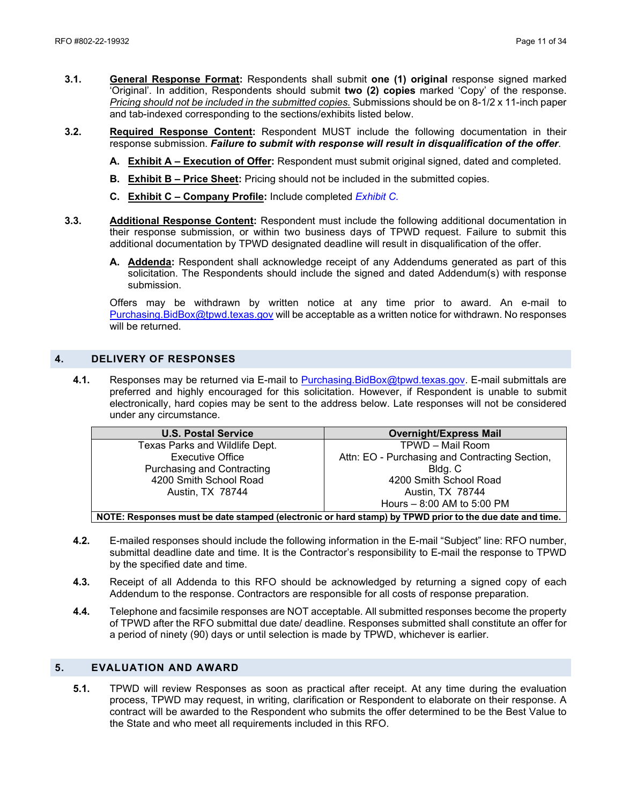- **3.1. General Response Format:** Respondents shall submit **one (1) original** response signed marked 'Original'. In addition, Respondents should submit **two (2) copies** marked 'Copy' of the response. *Pricing should not be included in the submitted copies.* Submissions should be on 8-1/2 x 11-inch paper and tab-indexed corresponding to the sections/exhibits listed below.
- **3.2. Required Response Content:** Respondent MUST include the following documentation in their response submission. *Failure to submit with response will result in disqualification of the offer*.
	- **A. Exhibit A – Execution of Offer:** Respondent must submit original signed, dated and completed.
	- **B. Exhibit B Price Sheet:** Pricing should not be included in the submitted copies.
	- **C. Exhibit C Company Profile:** Include completed *Exhibit C.*
- **3.3. Additional Response Content:** Respondent must include the following additional documentation in their response submission, or within two business days of TPWD request. Failure to submit this additional documentation by TPWD designated deadline will result in disqualification of the offer.
	- **A. Addenda:** Respondent shall acknowledge receipt of any Addendums generated as part of this solicitation. The Respondents should include the signed and dated Addendum(s) with response submission.

Offers may be withdrawn by written notice at any time prior to award. An e-mail to [Purchasing.BidBox@tpwd.texas.gov](mailto:Purchasing.BidBox@tpwd.texas.gov) will be acceptable as a written notice for withdrawn. No responses will be returned.

#### <span id="page-10-0"></span>**4. DELIVERY OF RESPONSES**

**4.1.** Responses may be returned via E-mail to [Purchasing.BidBox@tpwd.texas.gov.](mailto:Purchasing.BidBox@tpwd.texas.gov) E-mail submittals are preferred and highly encouraged for this solicitation. However, if Respondent is unable to submit electronically, hard copies may be sent to the address below. Late responses will not be considered under any circumstance.

| <b>U.S. Postal Service</b>                                                                             | <b>Overnight/Express Mail</b>                  |  |  |
|--------------------------------------------------------------------------------------------------------|------------------------------------------------|--|--|
| Texas Parks and Wildlife Dept.                                                                         | TPWD - Mail Room                               |  |  |
| <b>Executive Office</b>                                                                                | Attn: EO - Purchasing and Contracting Section, |  |  |
| <b>Purchasing and Contracting</b>                                                                      | Bldg. C                                        |  |  |
| 4200 Smith School Road                                                                                 | 4200 Smith School Road                         |  |  |
| Austin, TX 78744                                                                                       | Austin, TX 78744                               |  |  |
|                                                                                                        | Hours - 8:00 AM to 5:00 PM                     |  |  |
| NOTE: Poenanege must be date stamped (electronic or bard stamp) by TDWD prior to the due date and time |                                                |  |  |

**NOTE: Responses must be date stamped (electronic or hard stamp) by TPWD prior to the due date and time.**

- **4.2.** E-mailed responses should include the following information in the E-mail "Subject" line: RFO number, submittal deadline date and time. It is the Contractor's responsibility to E-mail the response to TPWD by the specified date and time.
- **4.3.** Receipt of all Addenda to this RFO should be acknowledged by returning a signed copy of each Addendum to the response. Contractors are responsible for all costs of response preparation.
- **4.4.** Telephone and facsimile responses are NOT acceptable. All submitted responses become the property of TPWD after the RFO submittal due date/ deadline. Responses submitted shall constitute an offer for a period of ninety (90) days or until selection is made by TPWD, whichever is earlier.

#### <span id="page-10-1"></span>**5. EVALUATION AND AWARD**

**5.1.** TPWD will review Responses as soon as practical after receipt. At any time during the evaluation process, TPWD may request, in writing, clarification or Respondent to elaborate on their response. A contract will be awarded to the Respondent who submits the offer determined to be the Best Value to the State and who meet all requirements included in this RFO.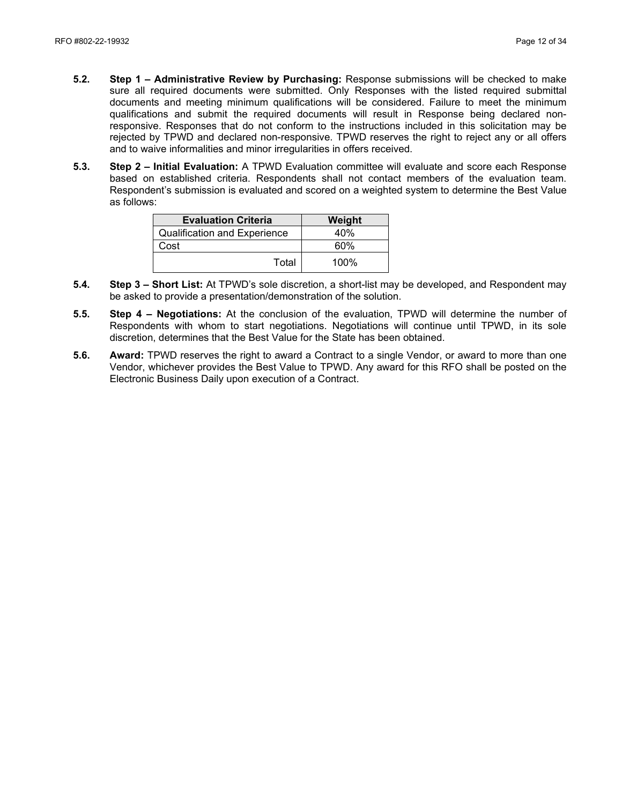- **5.2. Step 1 Administrative Review by Purchasing:** Response submissions will be checked to make sure all required documents were submitted. Only Responses with the listed required submittal documents and meeting minimum qualifications will be considered. Failure to meet the minimum qualifications and submit the required documents will result in Response being declared nonresponsive. Responses that do not conform to the instructions included in this solicitation may be rejected by TPWD and declared non-responsive. TPWD reserves the right to reject any or all offers and to waive informalities and minor irregularities in offers received.
- **5.3. Step 2 Initial Evaluation:** A TPWD Evaluation committee will evaluate and score each Response based on established criteria. Respondents shall not contact members of the evaluation team. Respondent's submission is evaluated and scored on a weighted system to determine the Best Value as follows:

| <b>Evaluation Criteria</b>          | Weight  |
|-------------------------------------|---------|
| <b>Qualification and Experience</b> | 40%     |
| Cost                                | 60%     |
| Total                               | $100\%$ |

- **5.4. Step 3 – Short List:** At TPWD's sole discretion, a short-list may be developed, and Respondent may be asked to provide a presentation/demonstration of the solution.
- **5.5. Step 4 Negotiations:** At the conclusion of the evaluation, TPWD will determine the number of Respondents with whom to start negotiations. Negotiations will continue until TPWD, in its sole discretion, determines that the Best Value for the State has been obtained.
- **5.6. Award:** TPWD reserves the right to award a Contract to a single Vendor, or award to more than one Vendor, whichever provides the Best Value to TPWD. Any award for this RFO shall be posted on the Electronic Business Daily upon execution of a Contract.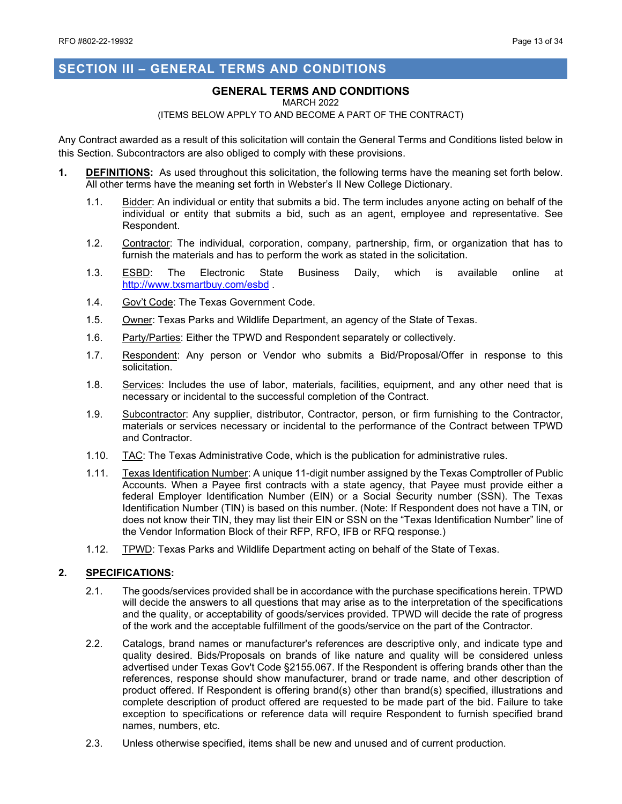## <span id="page-12-0"></span>**SECTION III – GENERAL TERMS AND CONDITIONS**

#### **GENERAL TERMS AND CONDITIONS**

#### MARCH 2022

#### (ITEMS BELOW APPLY TO AND BECOME A PART OF THE CONTRACT)

Any Contract awarded as a result of this solicitation will contain the General Terms and Conditions listed below in this Section. Subcontractors are also obliged to comply with these provisions.

- **1. DEFINITIONS:** As used throughout this solicitation, the following terms have the meaning set forth below. All other terms have the meaning set forth in Webster's II New College Dictionary.
	- 1.1. Bidder: An individual or entity that submits a bid. The term includes anyone acting on behalf of the individual or entity that submits a bid, such as an agent, employee and representative. See Respondent.
	- 1.2. Contractor: The individual, corporation, company, partnership, firm, or organization that has to furnish the materials and has to perform the work as stated in the solicitation.
	- 1.3. **ESBD:** The Electronic State Business Daily, which is available online at <http://www.txsmartbuy.com/esbd>.
	- 1.4. Gov't Code: The Texas Government Code.
	- 1.5. Owner: Texas Parks and Wildlife Department, an agency of the State of Texas.
	- 1.6. Party/Parties: Either the TPWD and Respondent separately or collectively.
	- 1.7. Respondent: Any person or Vendor who submits a Bid/Proposal/Offer in response to this solicitation.
	- 1.8. Services: Includes the use of labor, materials, facilities, equipment, and any other need that is necessary or incidental to the successful completion of the Contract.
	- 1.9. Subcontractor: Any supplier, distributor, Contractor, person, or firm furnishing to the Contractor, materials or services necessary or incidental to the performance of the Contract between TPWD and Contractor.
	- 1.10. TAC: The Texas Administrative Code, which is the publication for administrative rules.
	- 1.11. Texas Identification Number: A unique 11-digit number assigned by the Texas Comptroller of Public Accounts. When a Payee first contracts with a state agency, that Payee must provide either a federal Employer Identification Number (EIN) or a Social Security number (SSN). The Texas Identification Number (TIN) is based on this number. (Note: If Respondent does not have a TIN, or does not know their TIN, they may list their EIN or SSN on the "Texas Identification Number" line of the Vendor Information Block of their RFP, RFO, IFB or RFQ response.)
	- 1.12. TPWD: Texas Parks and Wildlife Department acting on behalf of the State of Texas.

#### **2. SPECIFICATIONS:**

- 2.1. The goods/services provided shall be in accordance with the purchase specifications herein. TPWD will decide the answers to all questions that may arise as to the interpretation of the specifications and the quality, or acceptability of goods/services provided. TPWD will decide the rate of progress of the work and the acceptable fulfillment of the goods/service on the part of the Contractor.
- 2.2. Catalogs, brand names or manufacturer's references are descriptive only, and indicate type and quality desired. Bids/Proposals on brands of like nature and quality will be considered unless advertised under Texas Gov't Code §2155.067. If the Respondent is offering brands other than the references, response should show manufacturer, brand or trade name, and other description of product offered. If Respondent is offering brand(s) other than brand(s) specified, illustrations and complete description of product offered are requested to be made part of the bid. Failure to take exception to specifications or reference data will require Respondent to furnish specified brand names, numbers, etc.
- 2.3. Unless otherwise specified, items shall be new and unused and of current production.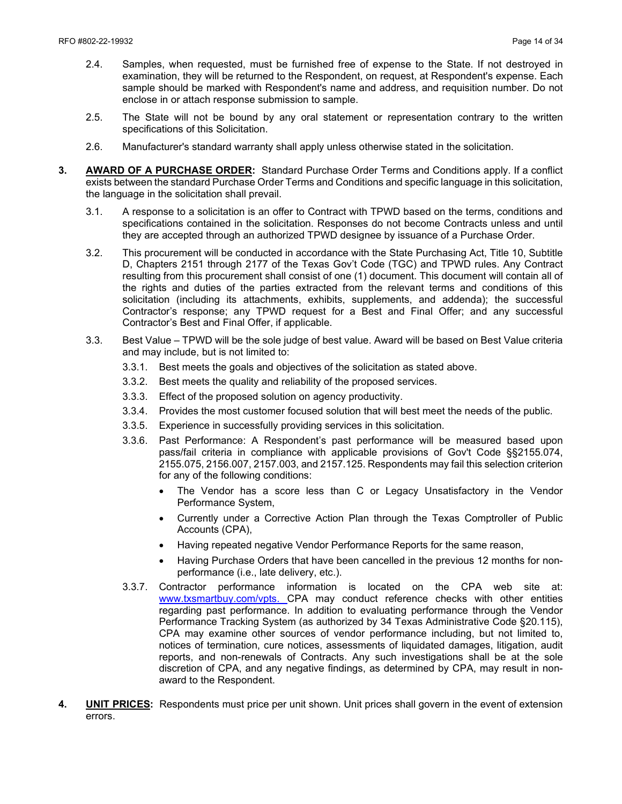- 2.4. Samples, when requested, must be furnished free of expense to the State. If not destroyed in examination, they will be returned to the Respondent, on request, at Respondent's expense. Each sample should be marked with Respondent's name and address, and requisition number. Do not enclose in or attach response submission to sample.
- 2.5. The State will not be bound by any oral statement or representation contrary to the written specifications of this Solicitation.
- 2.6. Manufacturer's standard warranty shall apply unless otherwise stated in the solicitation.
- **3. AWARD OF A PURCHASE ORDER:** Standard Purchase Order Terms and Conditions apply. If a conflict exists between the standard Purchase Order Terms and Conditions and specific language in this solicitation, the language in the solicitation shall prevail.
	- 3.1. A response to a solicitation is an offer to Contract with TPWD based on the terms, conditions and specifications contained in the solicitation. Responses do not become Contracts unless and until they are accepted through an authorized TPWD designee by issuance of a Purchase Order.
	- 3.2. This procurement will be conducted in accordance with the State Purchasing Act, Title 10, Subtitle D, Chapters 2151 through 2177 of the Texas Gov't Code (TGC) and TPWD rules. Any Contract resulting from this procurement shall consist of one (1) document. This document will contain all of the rights and duties of the parties extracted from the relevant terms and conditions of this solicitation (including its attachments, exhibits, supplements, and addenda); the successful Contractor's response; any TPWD request for a Best and Final Offer; and any successful Contractor's Best and Final Offer, if applicable.
	- 3.3. Best Value TPWD will be the sole judge of best value. Award will be based on Best Value criteria and may include, but is not limited to:
		- 3.3.1. Best meets the goals and objectives of the solicitation as stated above.
		- 3.3.2. Best meets the quality and reliability of the proposed services.
		- 3.3.3. Effect of the proposed solution on agency productivity.
		- 3.3.4. Provides the most customer focused solution that will best meet the needs of the public.
		- 3.3.5. Experience in successfully providing services in this solicitation.
		- 3.3.6. Past Performance: A Respondent's past performance will be measured based upon pass/fail criteria in compliance with applicable provisions of Gov't Code §§2155.074, 2155.075, 2156.007, 2157.003, and 2157.125. Respondents may fail this selection criterion for any of the following conditions:
			- The Vendor has a score less than C or Legacy Unsatisfactory in the Vendor Performance System,
			- Currently under a Corrective Action Plan through the Texas Comptroller of Public Accounts (CPA),
			- Having repeated negative Vendor Performance Reports for the same reason,
			- Having Purchase Orders that have been cancelled in the previous 12 months for nonperformance (i.e., late delivery, etc.).
		- 3.3.7. Contractor performance information is located on the CPA web site at: [www.txsmartbuy.com/vpts.](http://www.txsmartbuy.com/vpts) CPA may conduct reference checks with other entities regarding past performance. In addition to evaluating performance through the Vendor Performance Tracking System (as authorized by 34 Texas Administrative Code §20.115), CPA may examine other sources of vendor performance including, but not limited to, notices of termination, cure notices, assessments of liquidated damages, litigation, audit reports, and non-renewals of Contracts. Any such investigations shall be at the sole discretion of CPA, and any negative findings, as determined by CPA, may result in nonaward to the Respondent.
- **4. UNIT PRICES:** Respondents must price per unit shown. Unit prices shall govern in the event of extension errors.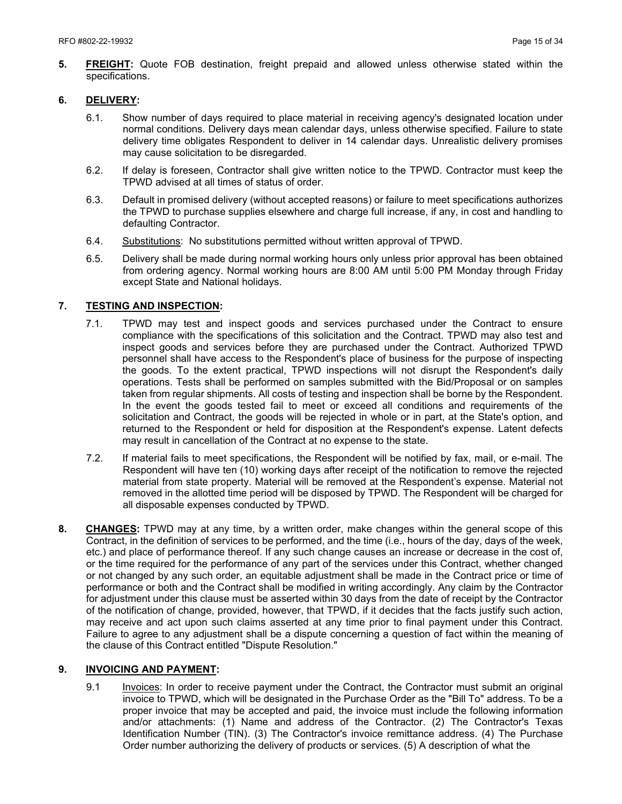**5. FREIGHT:** Quote FOB destination, freight prepaid and allowed unless otherwise stated within the specifications.

#### **6. DELIVERY:**

- 6.1. Show number of days required to place material in receiving agency's designated location under normal conditions. Delivery days mean calendar days, unless otherwise specified. Failure to state delivery time obligates Respondent to deliver in 14 calendar days. Unrealistic delivery promises may cause solicitation to be disregarded.
- 6.2. If delay is foreseen, Contractor shall give written notice to the TPWD. Contractor must keep the TPWD advised at all times of status of order.
- 6.3. Default in promised delivery (without accepted reasons) or failure to meet specifications authorizes the TPWD to purchase supplies elsewhere and charge full increase, if any, in cost and handling to defaulting Contractor.
- 6.4. Substitutions: No substitutions permitted without written approval of TPWD.
- 6.5. Delivery shall be made during normal working hours only unless prior approval has been obtained from ordering agency. Normal working hours are 8:00 AM until 5:00 PM Monday through Friday except State and National holidays.

#### **7. TESTING AND INSPECTION:**

- 7.1. TPWD may test and inspect goods and services purchased under the Contract to ensure compliance with the specifications of this solicitation and the Contract. TPWD may also test and inspect goods and services before they are purchased under the Contract. Authorized TPWD personnel shall have access to the Respondent's place of business for the purpose of inspecting the goods. To the extent practical, TPWD inspections will not disrupt the Respondent's daily operations. Tests shall be performed on samples submitted with the Bid/Proposal or on samples taken from regular shipments. All costs of testing and inspection shall be borne by the Respondent. In the event the goods tested fail to meet or exceed all conditions and requirements of the solicitation and Contract, the goods will be rejected in whole or in part, at the State's option, and returned to the Respondent or held for disposition at the Respondent's expense. Latent defects may result in cancellation of the Contract at no expense to the state.
- 7.2. If material fails to meet specifications, the Respondent will be notified by fax, mail, or e-mail. The Respondent will have ten (10) working days after receipt of the notification to remove the rejected material from state property. Material will be removed at the Respondent's expense. Material not removed in the allotted time period will be disposed by TPWD. The Respondent will be charged for all disposable expenses conducted by TPWD.
- **8. CHANGES:** TPWD may at any time, by a written order, make changes within the general scope of this Contract, in the definition of services to be performed, and the time (i.e., hours of the day, days of the week, etc.) and place of performance thereof. If any such change causes an increase or decrease in the cost of, or the time required for the performance of any part of the services under this Contract, whether changed or not changed by any such order, an equitable adjustment shall be made in the Contract price or time of performance or both and the Contract shall be modified in writing accordingly. Any claim by the Contractor for adjustment under this clause must be asserted within 30 days from the date of receipt by the Contractor of the notification of change, provided, however, that TPWD, if it decides that the facts justify such action, may receive and act upon such claims asserted at any time prior to final payment under this Contract. Failure to agree to any adjustment shall be a dispute concerning a question of fact within the meaning of the clause of this Contract entitled "Dispute Resolution."

#### **9. INVOICING AND PAYMENT:**

9.1 Invoices: In order to receive payment under the Contract, the Contractor must submit an original invoice to TPWD, which will be designated in the Purchase Order as the "Bill To" address. To be a proper invoice that may be accepted and paid, the invoice must include the following information and/or attachments: (1) Name and address of the Contractor. (2) The Contractor's Texas Identification Number (TIN). (3) The Contractor's invoice remittance address. (4) The Purchase Order number authorizing the delivery of products or services. (5) A description of what the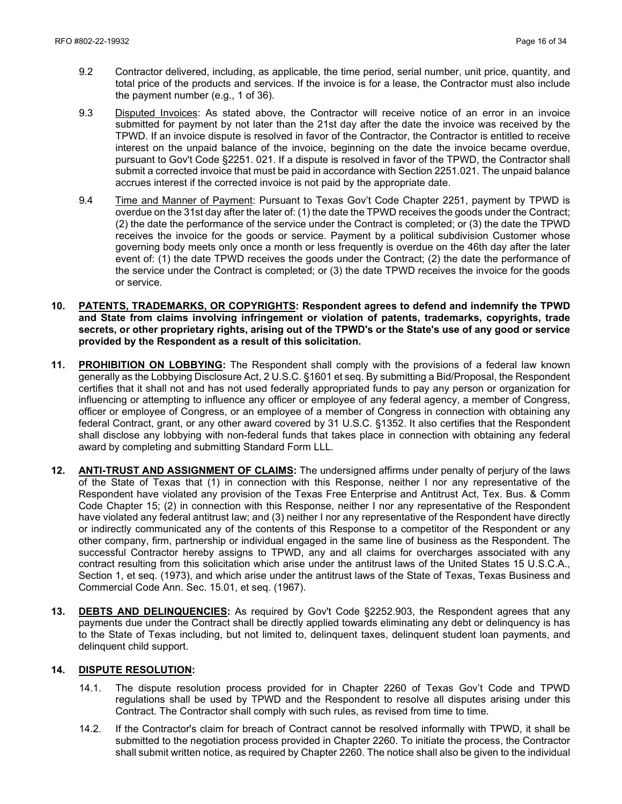- 9.2 Contractor delivered, including, as applicable, the time period, serial number, unit price, quantity, and total price of the products and services. If the invoice is for a lease, the Contractor must also include the payment number (e.g., 1 of 36).
- 9.3 Disputed Invoices: As stated above, the Contractor will receive notice of an error in an invoice submitted for payment by not later than the 21st day after the date the invoice was received by the TPWD. If an invoice dispute is resolved in favor of the Contractor, the Contractor is entitled to receive interest on the unpaid balance of the invoice, beginning on the date the invoice became overdue, pursuant to Gov't Code §2251. 021. If a dispute is resolved in favor of the TPWD, the Contractor shall submit a corrected invoice that must be paid in accordance with Section 2251.021. The unpaid balance accrues interest if the corrected invoice is not paid by the appropriate date.
- 9.4 Time and Manner of Payment: Pursuant to Texas Gov't Code Chapter 2251, payment by TPWD is overdue on the 31st day after the later of: (1) the date the TPWD receives the goods under the Contract; (2) the date the performance of the service under the Contract is completed; or (3) the date the TPWD receives the invoice for the goods or service. Payment by a political subdivision Customer whose governing body meets only once a month or less frequently is overdue on the 46th day after the later event of: (1) the date TPWD receives the goods under the Contract; (2) the date the performance of the service under the Contract is completed; or (3) the date TPWD receives the invoice for the goods or service.
- **10. PATENTS, TRADEMARKS, OR COPYRIGHTS: Respondent agrees to defend and indemnify the TPWD and State from claims involving infringement or violation of patents, trademarks, copyrights, trade secrets, or other proprietary rights, arising out of the TPWD's or the State's use of any good or service provided by the Respondent as a result of this solicitation.**
- **11. PROHIBITION ON LOBBYING:** The Respondent shall comply with the provisions of a federal law known generally as the Lobbying Disclosure Act, 2 U.S.C. §1601 et seq. By submitting a Bid/Proposal, the Respondent certifies that it shall not and has not used federally appropriated funds to pay any person or organization for influencing or attempting to influence any officer or employee of any federal agency, a member of Congress, officer or employee of Congress, or an employee of a member of Congress in connection with obtaining any federal Contract, grant, or any other award covered by 31 U.S.C. §1352. It also certifies that the Respondent shall disclose any lobbying with non-federal funds that takes place in connection with obtaining any federal award by completing and submitting Standard Form LLL.
- **12. ANTI-TRUST AND ASSIGNMENT OF CLAIMS:** The undersigned affirms under penalty of perjury of the laws of the State of Texas that (1) in connection with this Response, neither I nor any representative of the Respondent have violated any provision of the Texas Free Enterprise and Antitrust Act, Tex. Bus. & Comm Code Chapter 15; (2) in connection with this Response, neither I nor any representative of the Respondent have violated any federal antitrust law; and (3) neither I nor any representative of the Respondent have directly or indirectly communicated any of the contents of this Response to a competitor of the Respondent or any other company, firm, partnership or individual engaged in the same line of business as the Respondent. The successful Contractor hereby assigns to TPWD, any and all claims for overcharges associated with any contract resulting from this solicitation which arise under the antitrust laws of the United States 15 U.S.C.A., Section 1, et seq. (1973), and which arise under the antitrust laws of the State of Texas, Texas Business and Commercial Code Ann. Sec. 15.01, et seq. (1967).
- **13. DEBTS AND DELINQUENCIES:** As required by Gov't Code §2252.903, the Respondent agrees that any payments due under the Contract shall be directly applied towards eliminating any debt or delinquency is has to the State of Texas including, but not limited to, delinquent taxes, delinquent student loan payments, and delinquent child support.

#### **14. DISPUTE RESOLUTION:**

- 14.1. The dispute resolution process provided for in Chapter 2260 of Texas Gov't Code and TPWD regulations shall be used by TPWD and the Respondent to resolve all disputes arising under this Contract. The Contractor shall comply with such rules, as revised from time to time.
- 14.2. If the Contractor's claim for breach of Contract cannot be resolved informally with TPWD, it shall be submitted to the negotiation process provided in Chapter 2260. To initiate the process, the Contractor shall submit written notice, as required by Chapter 2260. The notice shall also be given to the individual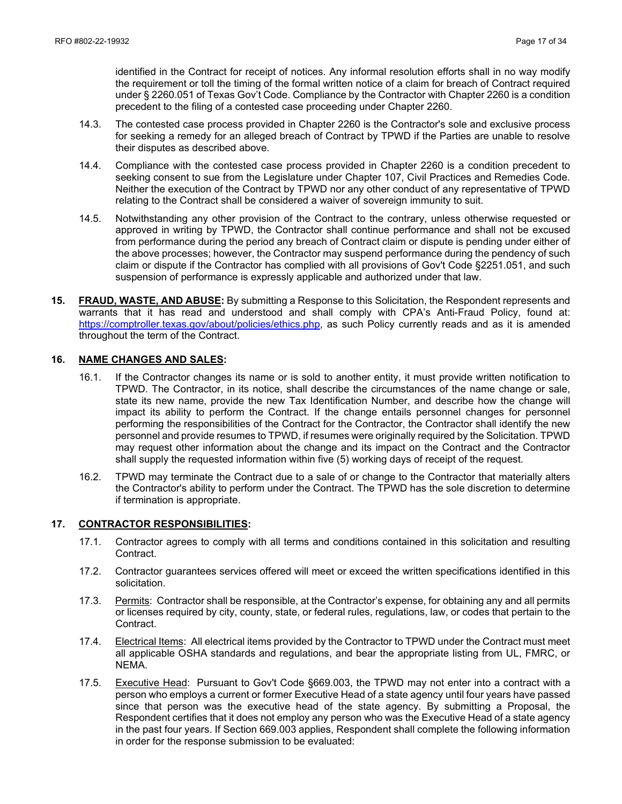identified in the Contract for receipt of notices. Any informal resolution efforts shall in no way modify the requirement or toll the timing of the formal written notice of a claim for breach of Contract required under § 2260.051 of Texas Gov't Code. Compliance by the Contractor with Chapter 2260 is a condition precedent to the filing of a contested case proceeding under Chapter 2260.

- 14.3. The contested case process provided in Chapter 2260 is the Contractor's sole and exclusive process for seeking a remedy for an alleged breach of Contract by TPWD if the Parties are unable to resolve their disputes as described above.
- 14.4. Compliance with the contested case process provided in Chapter 2260 is a condition precedent to seeking consent to sue from the Legislature under Chapter 107, Civil Practices and Remedies Code. Neither the execution of the Contract by TPWD nor any other conduct of any representative of TPWD relating to the Contract shall be considered a waiver of sovereign immunity to suit.
- 14.5. Notwithstanding any other provision of the Contract to the contrary, unless otherwise requested or approved in writing by TPWD, the Contractor shall continue performance and shall not be excused from performance during the period any breach of Contract claim or dispute is pending under either of the above processes; however, the Contractor may suspend performance during the pendency of such claim or dispute if the Contractor has complied with all provisions of Gov't Code §2251.051, and such suspension of performance is expressly applicable and authorized under that law.
- **15. FRAUD, WASTE, AND ABUSE:** By submitting a Response to this Solicitation, the Respondent represents and warrants that it has read and understood and shall comply with CPA's Anti-Fraud Policy, found at: https://comptroller.texas.gov/about/policies/ethics.php, as such Policy currently reads and as it is amended throughout the term of the Contract.

#### **16. NAME CHANGES AND SALES:**

- 16.1. If the Contractor changes its name or is sold to another entity, it must provide written notification to TPWD. The Contractor, in its notice, shall describe the circumstances of the name change or sale, state its new name, provide the new Tax Identification Number, and describe how the change will impact its ability to perform the Contract. If the change entails personnel changes for personnel performing the responsibilities of the Contract for the Contractor, the Contractor shall identify the new personnel and provide resumes to TPWD, if resumes were originally required by the Solicitation. TPWD may request other information about the change and its impact on the Contract and the Contractor shall supply the requested information within five (5) working days of receipt of the request.
- 16.2. TPWD may terminate the Contract due to a sale of or change to the Contractor that materially alters the Contractor's ability to perform under the Contract. The TPWD has the sole discretion to determine if termination is appropriate.

#### **17. CONTRACTOR RESPONSIBILITIES:**

- 17.1. Contractor agrees to comply with all terms and conditions contained in this solicitation and resulting Contract.
- 17.2. Contractor guarantees services offered will meet or exceed the written specifications identified in this solicitation.
- 17.3. Permits: Contractor shall be responsible, at the Contractor's expense, for obtaining any and all permits or licenses required by city, county, state, or federal rules, regulations, law, or codes that pertain to the Contract.
- 17.4. Electrical Items: All electrical items provided by the Contractor to TPWD under the Contract must meet all applicable OSHA standards and regulations, and bear the appropriate listing from UL, FMRC, or NEMA.
- 17.5. Executive Head: Pursuant to Gov't Code §669.003, the TPWD may not enter into a contract with a person who employs a current or former Executive Head of a state agency until four years have passed since that person was the executive head of the state agency. By submitting a Proposal, the Respondent certifies that it does not employ any person who was the Executive Head of a state agency in the past four years. If Section 669.003 applies, Respondent shall complete the following information in order for the response submission to be evaluated: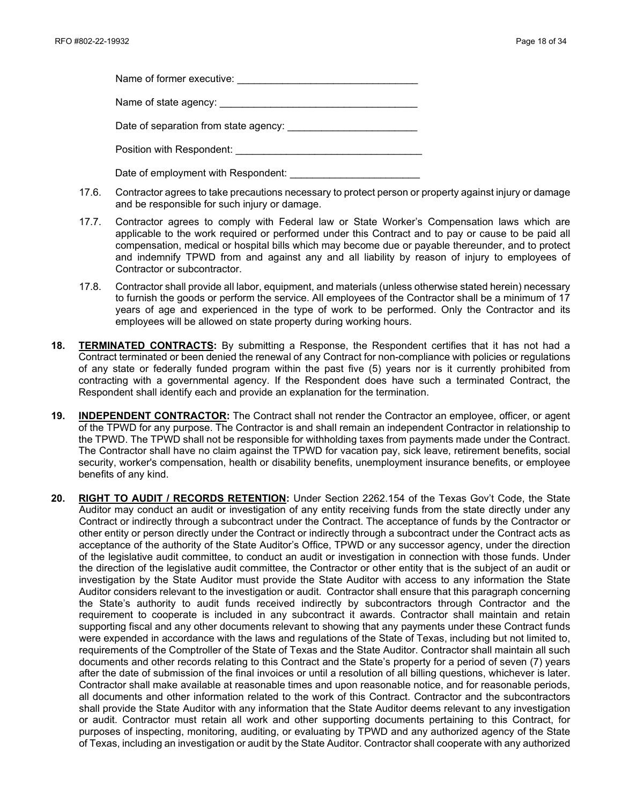| Name of former executive:             |  |
|---------------------------------------|--|
| Name of state agency:                 |  |
| Date of separation from state agency: |  |

Position with Respondent:

Date of employment with Respondent:

- 17.6. Contractor agrees to take precautions necessary to protect person or property against injury or damage and be responsible for such injury or damage.
- 17.7. Contractor agrees to comply with Federal law or State Worker's Compensation laws which are applicable to the work required or performed under this Contract and to pay or cause to be paid all compensation, medical or hospital bills which may become due or payable thereunder, and to protect and indemnify TPWD from and against any and all liability by reason of injury to employees of Contractor or subcontractor.
- 17.8. Contractor shall provide all labor, equipment, and materials (unless otherwise stated herein) necessary to furnish the goods or perform the service. All employees of the Contractor shall be a minimum of 17 years of age and experienced in the type of work to be performed. Only the Contractor and its employees will be allowed on state property during working hours.
- **18. TERMINATED CONTRACTS:** By submitting a Response, the Respondent certifies that it has not had a Contract terminated or been denied the renewal of any Contract for non-compliance with policies or regulations of any state or federally funded program within the past five (5) years nor is it currently prohibited from contracting with a governmental agency. If the Respondent does have such a terminated Contract, the Respondent shall identify each and provide an explanation for the termination.
- **19. INDEPENDENT CONTRACTOR:** The Contract shall not render the Contractor an employee, officer, or agent of the TPWD for any purpose. The Contractor is and shall remain an independent Contractor in relationship to the TPWD. The TPWD shall not be responsible for withholding taxes from payments made under the Contract. The Contractor shall have no claim against the TPWD for vacation pay, sick leave, retirement benefits, social security, worker's compensation, health or disability benefits, unemployment insurance benefits, or employee benefits of any kind.
- **20. RIGHT TO AUDIT / RECORDS RETENTION:** Under Section 2262.154 of the Texas Gov't Code, the State Auditor may conduct an audit or investigation of any entity receiving funds from the state directly under any Contract or indirectly through a subcontract under the Contract. The acceptance of funds by the Contractor or other entity or person directly under the Contract or indirectly through a subcontract under the Contract acts as acceptance of the authority of the State Auditor's Office, TPWD or any successor agency, under the direction of the legislative audit committee, to conduct an audit or investigation in connection with those funds. Under the direction of the legislative audit committee, the Contractor or other entity that is the subject of an audit or investigation by the State Auditor must provide the State Auditor with access to any information the State Auditor considers relevant to the investigation or audit. Contractor shall ensure that this paragraph concerning the State's authority to audit funds received indirectly by subcontractors through Contractor and the requirement to cooperate is included in any subcontract it awards. Contractor shall maintain and retain supporting fiscal and any other documents relevant to showing that any payments under these Contract funds were expended in accordance with the laws and regulations of the State of Texas, including but not limited to, requirements of the Comptroller of the State of Texas and the State Auditor. Contractor shall maintain all such documents and other records relating to this Contract and the State's property for a period of seven (7) years after the date of submission of the final invoices or until a resolution of all billing questions, whichever is later. Contractor shall make available at reasonable times and upon reasonable notice, and for reasonable periods, all documents and other information related to the work of this Contract. Contractor and the subcontractors shall provide the State Auditor with any information that the State Auditor deems relevant to any investigation or audit. Contractor must retain all work and other supporting documents pertaining to this Contract, for purposes of inspecting, monitoring, auditing, or evaluating by TPWD and any authorized agency of the State of Texas, including an investigation or audit by the State Auditor. Contractor shall cooperate with any authorized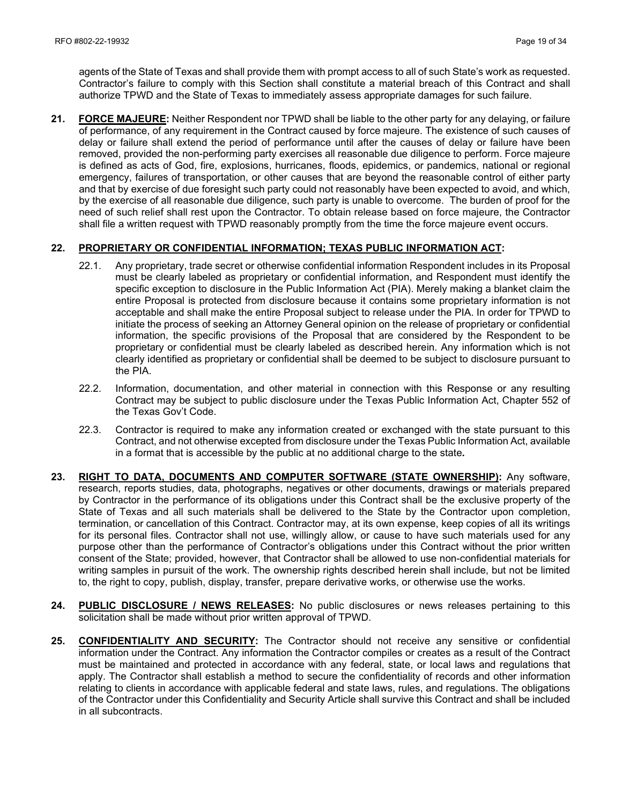agents of the State of Texas and shall provide them with prompt access to all of such State's work as requested. Contractor's failure to comply with this Section shall constitute a material breach of this Contract and shall authorize TPWD and the State of Texas to immediately assess appropriate damages for such failure.

**21. FORCE MAJEURE:** Neither Respondent nor TPWD shall be liable to the other party for any delaying, or failure of performance, of any requirement in the Contract caused by force majeure. The existence of such causes of delay or failure shall extend the period of performance until after the causes of delay or failure have been removed, provided the non-performing party exercises all reasonable due diligence to perform. Force majeure is defined as acts of God, fire, explosions, hurricanes, floods, epidemics, or pandemics, national or regional emergency, failures of transportation, or other causes that are beyond the reasonable control of either party and that by exercise of due foresight such party could not reasonably have been expected to avoid, and which, by the exercise of all reasonable due diligence, such party is unable to overcome. The burden of proof for the need of such relief shall rest upon the Contractor. To obtain release based on force majeure, the Contractor shall file a written request with TPWD reasonably promptly from the time the force majeure event occurs.

#### **22. PROPRIETARY OR CONFIDENTIAL INFORMATION; TEXAS PUBLIC INFORMATION ACT:**

- 22.1. Any proprietary, trade secret or otherwise confidential information Respondent includes in its Proposal must be clearly labeled as proprietary or confidential information, and Respondent must identify the specific exception to disclosure in the Public Information Act (PIA). Merely making a blanket claim the entire Proposal is protected from disclosure because it contains some proprietary information is not acceptable and shall make the entire Proposal subject to release under the PIA. In order for TPWD to initiate the process of seeking an Attorney General opinion on the release of proprietary or confidential information, the specific provisions of the Proposal that are considered by the Respondent to be proprietary or confidential must be clearly labeled as described herein. Any information which is not clearly identified as proprietary or confidential shall be deemed to be subject to disclosure pursuant to the PIA.
- 22.2. Information, documentation, and other material in connection with this Response or any resulting Contract may be subject to public disclosure under the Texas Public Information Act, Chapter 552 of the Texas Gov't Code.
- 22.3. Contractor is required to make any information created or exchanged with the state pursuant to this Contract, and not otherwise excepted from disclosure under the Texas Public Information Act, available in a format that is accessible by the public at no additional charge to the state**.**
- **23. RIGHT TO DATA, DOCUMENTS AND COMPUTER SOFTWARE (STATE OWNERSHIP):** Any software, research, reports studies, data, photographs, negatives or other documents, drawings or materials prepared by Contractor in the performance of its obligations under this Contract shall be the exclusive property of the State of Texas and all such materials shall be delivered to the State by the Contractor upon completion, termination, or cancellation of this Contract. Contractor may, at its own expense, keep copies of all its writings for its personal files. Contractor shall not use, willingly allow, or cause to have such materials used for any purpose other than the performance of Contractor's obligations under this Contract without the prior written consent of the State; provided, however, that Contractor shall be allowed to use non-confidential materials for writing samples in pursuit of the work. The ownership rights described herein shall include, but not be limited to, the right to copy, publish, display, transfer, prepare derivative works, or otherwise use the works.
- **24. PUBLIC DISCLOSURE / NEWS RELEASES:** No public disclosures or news releases pertaining to this solicitation shall be made without prior written approval of TPWD.
- **25. CONFIDENTIALITY AND SECURITY:** The Contractor should not receive any sensitive or confidential information under the Contract. Any information the Contractor compiles or creates as a result of the Contract must be maintained and protected in accordance with any federal, state, or local laws and regulations that apply. The Contractor shall establish a method to secure the confidentiality of records and other information relating to clients in accordance with applicable federal and state laws, rules, and regulations. The obligations of the Contractor under this Confidentiality and Security Article shall survive this Contract and shall be included in all subcontracts.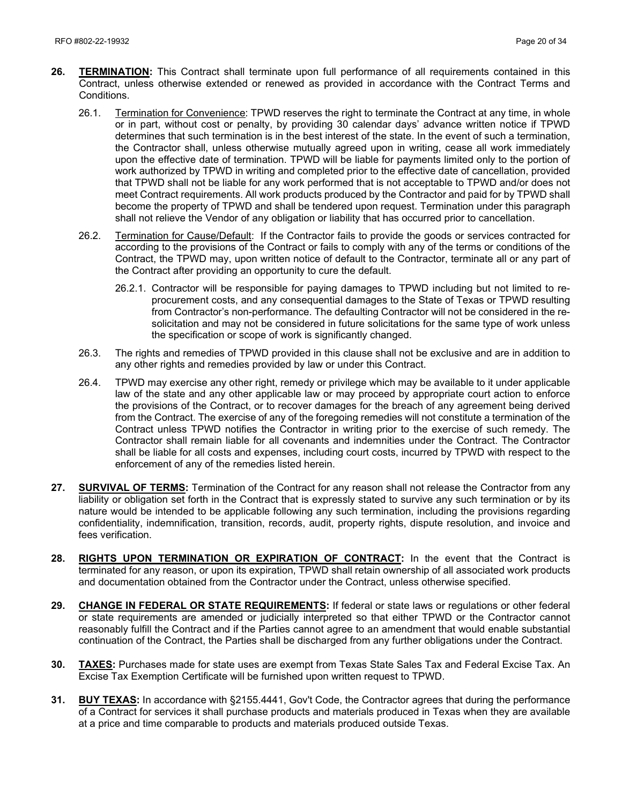- **26. TERMINATION:** This Contract shall terminate upon full performance of all requirements contained in this Contract, unless otherwise extended or renewed as provided in accordance with the Contract Terms and Conditions.
	- 26.1. Termination for Convenience: TPWD reserves the right to terminate the Contract at any time, in whole or in part, without cost or penalty, by providing 30 calendar days' advance written notice if TPWD determines that such termination is in the best interest of the state. In the event of such a termination, the Contractor shall, unless otherwise mutually agreed upon in writing, cease all work immediately upon the effective date of termination. TPWD will be liable for payments limited only to the portion of work authorized by TPWD in writing and completed prior to the effective date of cancellation, provided that TPWD shall not be liable for any work performed that is not acceptable to TPWD and/or does not meet Contract requirements. All work products produced by the Contractor and paid for by TPWD shall become the property of TPWD and shall be tendered upon request. Termination under this paragraph shall not relieve the Vendor of any obligation or liability that has occurred prior to cancellation.
	- 26.2. Termination for Cause/Default: If the Contractor fails to provide the goods or services contracted for according to the provisions of the Contract or fails to comply with any of the terms or conditions of the Contract, the TPWD may, upon written notice of default to the Contractor, terminate all or any part of the Contract after providing an opportunity to cure the default.
		- 26.2.1. Contractor will be responsible for paying damages to TPWD including but not limited to reprocurement costs, and any consequential damages to the State of Texas or TPWD resulting from Contractor's non-performance. The defaulting Contractor will not be considered in the resolicitation and may not be considered in future solicitations for the same type of work unless the specification or scope of work is significantly changed.
	- 26.3. The rights and remedies of TPWD provided in this clause shall not be exclusive and are in addition to any other rights and remedies provided by law or under this Contract.
	- 26.4. TPWD may exercise any other right, remedy or privilege which may be available to it under applicable law of the state and any other applicable law or may proceed by appropriate court action to enforce the provisions of the Contract, or to recover damages for the breach of any agreement being derived from the Contract. The exercise of any of the foregoing remedies will not constitute a termination of the Contract unless TPWD notifies the Contractor in writing prior to the exercise of such remedy. The Contractor shall remain liable for all covenants and indemnities under the Contract. The Contractor shall be liable for all costs and expenses, including court costs, incurred by TPWD with respect to the enforcement of any of the remedies listed herein.
- **27. SURVIVAL OF TERMS:** Termination of the Contract for any reason shall not release the Contractor from any liability or obligation set forth in the Contract that is expressly stated to survive any such termination or by its nature would be intended to be applicable following any such termination, including the provisions regarding confidentiality, indemnification, transition, records, audit, property rights, dispute resolution, and invoice and fees verification.
- **28. RIGHTS UPON TERMINATION OR EXPIRATION OF CONTRACT:** In the event that the Contract is terminated for any reason, or upon its expiration, TPWD shall retain ownership of all associated work products and documentation obtained from the Contractor under the Contract, unless otherwise specified.
- **29. CHANGE IN FEDERAL OR STATE REQUIREMENTS:** If federal or state laws or regulations or other federal or state requirements are amended or judicially interpreted so that either TPWD or the Contractor cannot reasonably fulfill the Contract and if the Parties cannot agree to an amendment that would enable substantial continuation of the Contract, the Parties shall be discharged from any further obligations under the Contract.
- **30. TAXES:** Purchases made for state uses are exempt from Texas State Sales Tax and Federal Excise Tax. An Excise Tax Exemption Certificate will be furnished upon written request to TPWD.
- **31. BUY TEXAS:** In accordance with §2155.4441, Gov't Code, the Contractor agrees that during the performance of a Contract for services it shall purchase products and materials produced in Texas when they are available at a price and time comparable to products and materials produced outside Texas.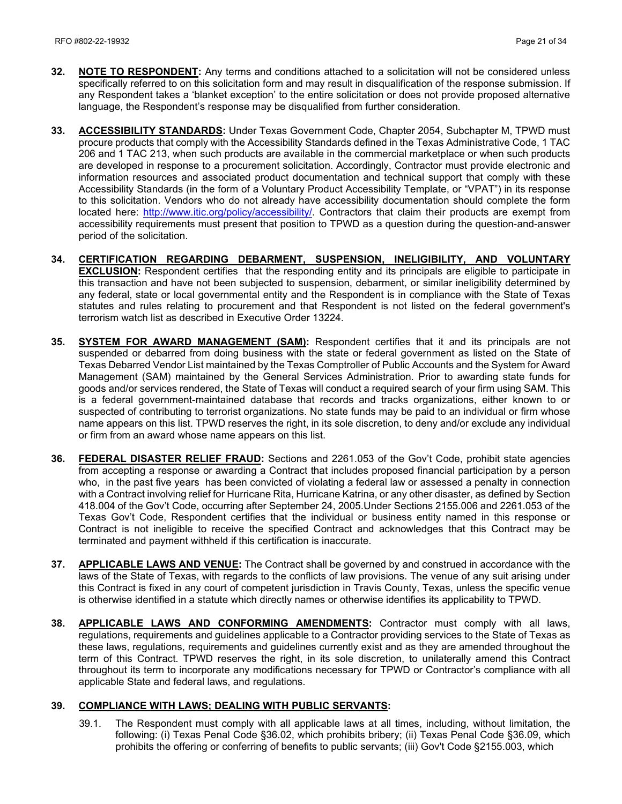- **32. NOTE TO RESPONDENT:** Any terms and conditions attached to a solicitation will not be considered unless specifically referred to on this solicitation form and may result in disqualification of the response submission. If any Respondent takes a 'blanket exception' to the entire solicitation or does not provide proposed alternative language, the Respondent's response may be disqualified from further consideration.
- **33. ACCESSIBILITY STANDARDS:** Under Texas Government Code, Chapter 2054, Subchapter M, TPWD must procure products that comply with the Accessibility Standards defined in the Texas Administrative Code, 1 TAC 206 and 1 TAC 213, when such products are available in the commercial marketplace or when such products are developed in response to a procurement solicitation. Accordingly, Contractor must provide electronic and information resources and associated product documentation and technical support that comply with these Accessibility Standards (in the form of a Voluntary Product Accessibility Template, or "VPAT") in its response to this solicitation. Vendors who do not already have accessibility documentation should complete the form located here: [http://www.itic.org/policy/accessibility/.](http://www.itic.org/policy/accessibility/) Contractors that claim their products are exempt from accessibility requirements must present that position to TPWD as a question during the question-and-answer period of the solicitation.
- **34. CERTIFICATION REGARDING DEBARMENT, SUSPENSION, INELIGIBILITY, AND VOLUNTARY EXCLUSION:** Respondent certifies that the responding entity and its principals are eligible to participate in this transaction and have not been subjected to suspension, debarment, or similar ineligibility determined by any federal, state or local governmental entity and the Respondent is in compliance with the State of Texas statutes and rules relating to procurement and that Respondent is not listed on the federal government's terrorism watch list as described in Executive Order 13224.
- **35. SYSTEM FOR AWARD MANAGEMENT (SAM):** Respondent certifies that it and its principals are not suspended or debarred from doing business with the state or federal government as listed on the State of Texas Debarred Vendor List maintained by the Texas Comptroller of Public Accounts and the System for Award Management (SAM) maintained by the General Services Administration. Prior to awarding state funds for goods and/or services rendered, the State of Texas will conduct a required search of your firm using SAM. This is a federal government-maintained database that records and tracks organizations, either known to or suspected of contributing to terrorist organizations. No state funds may be paid to an individual or firm whose name appears on this list. TPWD reserves the right, in its sole discretion, to deny and/or exclude any individual or firm from an award whose name appears on this list.
- **36. FEDERAL DISASTER RELIEF FRAUD:** Sections and 2261.053 of the Gov't Code, prohibit state agencies from accepting a response or awarding a Contract that includes proposed financial participation by a person who, in the past five years has been convicted of violating a federal law or assessed a penalty in connection with a Contract involving relief for Hurricane Rita, Hurricane Katrina, or any other disaster, as defined by Section 418.004 of the Gov't Code, occurring after September 24, 2005.Under Sections 2155.006 and 2261.053 of the Texas Gov't Code, Respondent certifies that the individual or business entity named in this response or Contract is not ineligible to receive the specified Contract and acknowledges that this Contract may be terminated and payment withheld if this certification is inaccurate.
- **37. APPLICABLE LAWS AND VENUE:** The Contract shall be governed by and construed in accordance with the laws of the State of Texas, with regards to the conflicts of law provisions. The venue of any suit arising under this Contract is fixed in any court of competent jurisdiction in Travis County, Texas, unless the specific venue is otherwise identified in a statute which directly names or otherwise identifies its applicability to TPWD.
- **38. APPLICABLE LAWS AND CONFORMING AMENDMENTS:** Contractor must comply with all laws, regulations, requirements and guidelines applicable to a Contractor providing services to the State of Texas as these laws, regulations, requirements and guidelines currently exist and as they are amended throughout the term of this Contract. TPWD reserves the right, in its sole discretion, to unilaterally amend this Contract throughout its term to incorporate any modifications necessary for TPWD or Contractor's compliance with all applicable State and federal laws, and regulations.

#### **39. COMPLIANCE WITH LAWS; DEALING WITH PUBLIC SERVANTS:**

39.1. The Respondent must comply with all applicable laws at all times, including, without limitation, the following: (i) Texas Penal Code §36.02, which prohibits bribery; (ii) Texas Penal Code §36.09, which prohibits the offering or conferring of benefits to public servants; (iii) Gov't Code §2155.003, which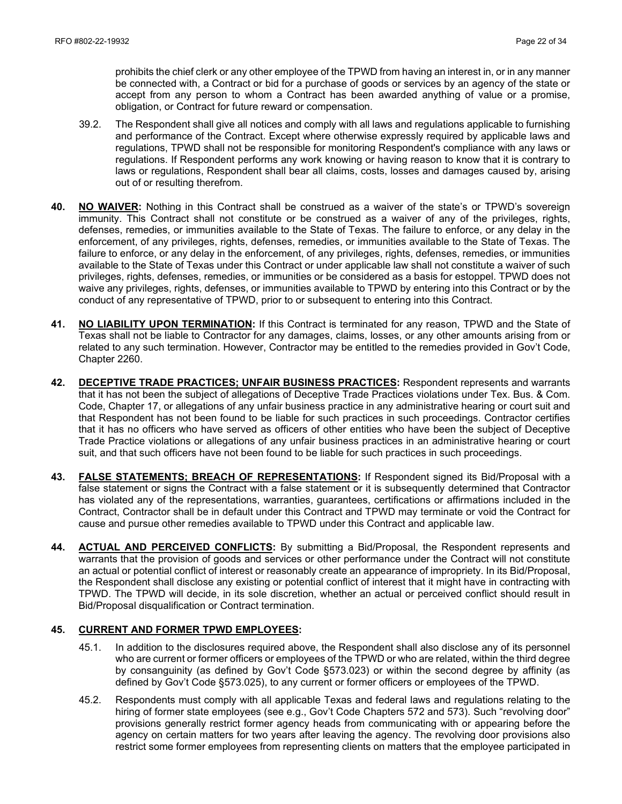prohibits the chief clerk or any other employee of the TPWD from having an interest in, or in any manner be connected with, a Contract or bid for a purchase of goods or services by an agency of the state or accept from any person to whom a Contract has been awarded anything of value or a promise, obligation, or Contract for future reward or compensation.

- 39.2. The Respondent shall give all notices and comply with all laws and regulations applicable to furnishing and performance of the Contract. Except where otherwise expressly required by applicable laws and regulations, TPWD shall not be responsible for monitoring Respondent's compliance with any laws or regulations. If Respondent performs any work knowing or having reason to know that it is contrary to laws or regulations, Respondent shall bear all claims, costs, losses and damages caused by, arising out of or resulting therefrom.
- **40. NO WAIVER:** Nothing in this Contract shall be construed as a waiver of the state's or TPWD's sovereign immunity. This Contract shall not constitute or be construed as a waiver of any of the privileges, rights, defenses, remedies, or immunities available to the State of Texas. The failure to enforce, or any delay in the enforcement, of any privileges, rights, defenses, remedies, or immunities available to the State of Texas. The failure to enforce, or any delay in the enforcement, of any privileges, rights, defenses, remedies, or immunities available to the State of Texas under this Contract or under applicable law shall not constitute a waiver of such privileges, rights, defenses, remedies, or immunities or be considered as a basis for estoppel. TPWD does not waive any privileges, rights, defenses, or immunities available to TPWD by entering into this Contract or by the conduct of any representative of TPWD, prior to or subsequent to entering into this Contract.
- **41. NO LIABILITY UPON TERMINATION:** If this Contract is terminated for any reason, TPWD and the State of Texas shall not be liable to Contractor for any damages, claims, losses, or any other amounts arising from or related to any such termination. However, Contractor may be entitled to the remedies provided in Gov't Code, Chapter 2260.
- **42. DECEPTIVE TRADE PRACTICES; UNFAIR BUSINESS PRACTICES:** Respondent represents and warrants that it has not been the subject of allegations of Deceptive Trade Practices violations under Tex. Bus. & Com. Code, Chapter 17, or allegations of any unfair business practice in any administrative hearing or court suit and that Respondent has not been found to be liable for such practices in such proceedings. Contractor certifies that it has no officers who have served as officers of other entities who have been the subject of Deceptive Trade Practice violations or allegations of any unfair business practices in an administrative hearing or court suit, and that such officers have not been found to be liable for such practices in such proceedings.
- **43. FALSE STATEMENTS; BREACH OF REPRESENTATIONS:** If Respondent signed its Bid/Proposal with a false statement or signs the Contract with a false statement or it is subsequently determined that Contractor has violated any of the representations, warranties, guarantees, certifications or affirmations included in the Contract, Contractor shall be in default under this Contract and TPWD may terminate or void the Contract for cause and pursue other remedies available to TPWD under this Contract and applicable law.
- **44. ACTUAL AND PERCEIVED CONFLICTS:** By submitting a Bid/Proposal, the Respondent represents and warrants that the provision of goods and services or other performance under the Contract will not constitute an actual or potential conflict of interest or reasonably create an appearance of impropriety. In its Bid/Proposal, the Respondent shall disclose any existing or potential conflict of interest that it might have in contracting with TPWD. The TPWD will decide, in its sole discretion, whether an actual or perceived conflict should result in Bid/Proposal disqualification or Contract termination.

#### **45. CURRENT AND FORMER TPWD EMPLOYEES:**

- 45.1. In addition to the disclosures required above, the Respondent shall also disclose any of its personnel who are current or former officers or employees of the TPWD or who are related, within the third degree by consanguinity (as defined by Gov't Code §573.023) or within the second degree by affinity (as defined by Gov't Code §573.025), to any current or former officers or employees of the TPWD.
- 45.2. Respondents must comply with all applicable Texas and federal laws and regulations relating to the hiring of former state employees (see e.g., Gov't Code Chapters 572 and 573). Such "revolving door" provisions generally restrict former agency heads from communicating with or appearing before the agency on certain matters for two years after leaving the agency. The revolving door provisions also restrict some former employees from representing clients on matters that the employee participated in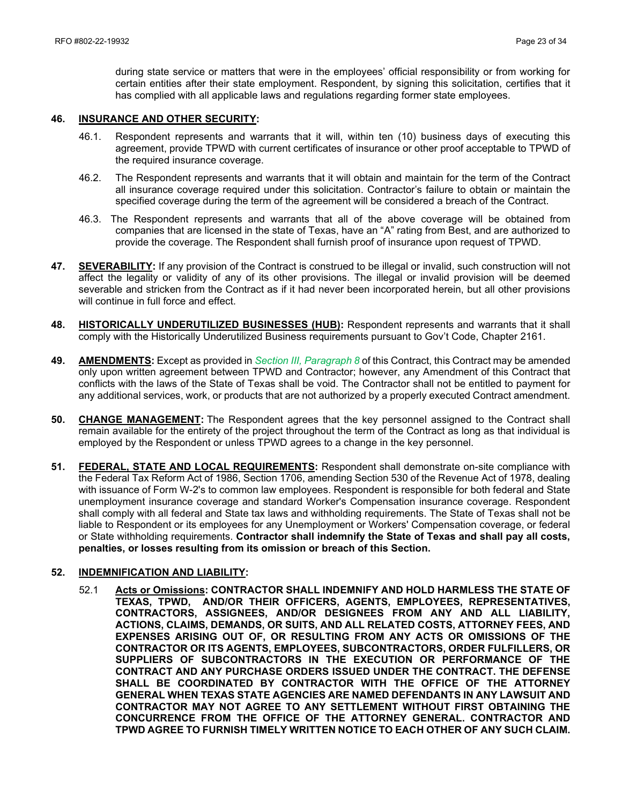during state service or matters that were in the employees' official responsibility or from working for certain entities after their state employment. Respondent, by signing this solicitation, certifies that it has complied with all applicable laws and regulations regarding former state employees.

#### **46. INSURANCE AND OTHER SECURITY:**

- 46.1. Respondent represents and warrants that it will, within ten (10) business days of executing this agreement, provide TPWD with current certificates of insurance or other proof acceptable to TPWD of the required insurance coverage.
- 46.2. The Respondent represents and warrants that it will obtain and maintain for the term of the Contract all insurance coverage required under this solicitation. Contractor's failure to obtain or maintain the specified coverage during the term of the agreement will be considered a breach of the Contract.
- 46.3. The Respondent represents and warrants that all of the above coverage will be obtained from companies that are licensed in the state of Texas, have an "A" rating from Best, and are authorized to provide the coverage. The Respondent shall furnish proof of insurance upon request of TPWD.
- **47. SEVERABILITY:** If any provision of the Contract is construed to be illegal or invalid, such construction will not affect the legality or validity of any of its other provisions. The illegal or invalid provision will be deemed severable and stricken from the Contract as if it had never been incorporated herein, but all other provisions will continue in full force and effect.
- **48. HISTORICALLY UNDERUTILIZED BUSINESSES (HUB):** Respondent represents and warrants that it shall comply with the Historically Underutilized Business requirements pursuant to Gov't Code, Chapter 2161.
- **49. AMENDMENTS:** Except as provided in *Section III, Paragraph 8* of this Contract, this Contract may be amended only upon written agreement between TPWD and Contractor; however, any Amendment of this Contract that conflicts with the laws of the State of Texas shall be void. The Contractor shall not be entitled to payment for any additional services, work, or products that are not authorized by a properly executed Contract amendment.
- **50. CHANGE MANAGEMENT:** The Respondent agrees that the key personnel assigned to the Contract shall remain available for the entirety of the project throughout the term of the Contract as long as that individual is employed by the Respondent or unless TPWD agrees to a change in the key personnel.
- **51. FEDERAL, STATE AND LOCAL REQUIREMENTS:** Respondent shall demonstrate on-site compliance with the Federal Tax Reform Act of 1986, Section 1706, amending Section 530 of the Revenue Act of 1978, dealing with issuance of Form W-2's to common law employees. Respondent is responsible for both federal and State unemployment insurance coverage and standard Worker's Compensation insurance coverage. Respondent shall comply with all federal and State tax laws and withholding requirements. The State of Texas shall not be liable to Respondent or its employees for any Unemployment or Workers' Compensation coverage, or federal or State withholding requirements. **Contractor shall indemnify the State of Texas and shall pay all costs, penalties, or losses resulting from its omission or breach of this Section.**

#### **52. INDEMNIFICATION AND LIABILITY:**

52.1 **Acts or Omissions: CONTRACTOR SHALL INDEMNIFY AND HOLD HARMLESS THE STATE OF TEXAS, TPWD, AND/OR THEIR OFFICERS, AGENTS, EMPLOYEES, REPRESENTATIVES, CONTRACTORS, ASSIGNEES, AND/OR DESIGNEES FROM ANY AND ALL LIABILITY, ACTIONS, CLAIMS, DEMANDS, OR SUITS, AND ALL RELATED COSTS, ATTORNEY FEES, AND EXPENSES ARISING OUT OF, OR RESULTING FROM ANY ACTS OR OMISSIONS OF THE CONTRACTOR OR ITS AGENTS, EMPLOYEES, SUBCONTRACTORS, ORDER FULFILLERS, OR SUPPLIERS OF SUBCONTRACTORS IN THE EXECUTION OR PERFORMANCE OF THE CONTRACT AND ANY PURCHASE ORDERS ISSUED UNDER THE CONTRACT. THE DEFENSE SHALL BE COORDINATED BY CONTRACTOR WITH THE OFFICE OF THE ATTORNEY GENERAL WHEN TEXAS STATE AGENCIES ARE NAMED DEFENDANTS IN ANY LAWSUIT AND CONTRACTOR MAY NOT AGREE TO ANY SETTLEMENT WITHOUT FIRST OBTAINING THE CONCURRENCE FROM THE OFFICE OF THE ATTORNEY GENERAL. CONTRACTOR AND TPWD AGREE TO FURNISH TIMELY WRITTEN NOTICE TO EACH OTHER OF ANY SUCH CLAIM.**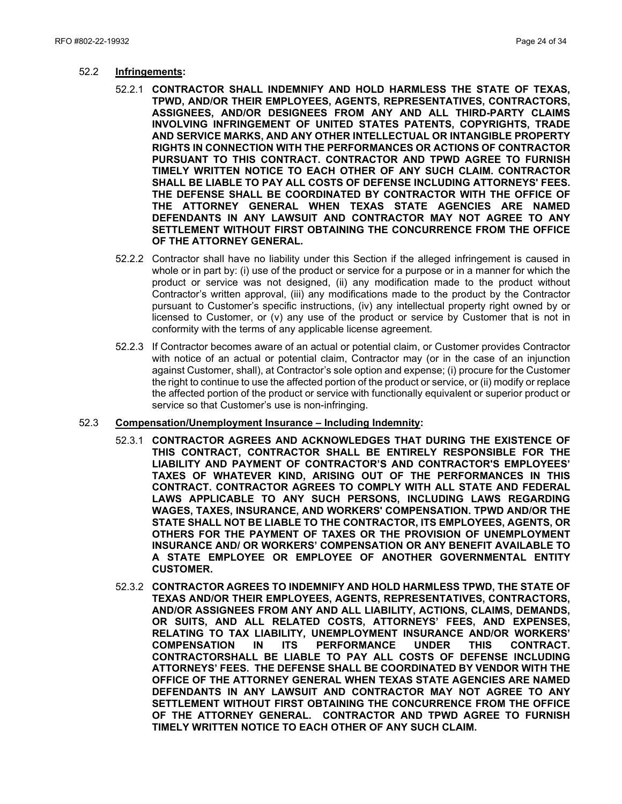- 52.2 **Infringements:** 
	- 52.2.1 **CONTRACTOR SHALL INDEMNIFY AND HOLD HARMLESS THE STATE OF TEXAS, TPWD, AND/OR THEIR EMPLOYEES, AGENTS, REPRESENTATIVES, CONTRACTORS, ASSIGNEES, AND/OR DESIGNEES FROM ANY AND ALL THIRD-PARTY CLAIMS INVOLVING INFRINGEMENT OF UNITED STATES PATENTS, COPYRIGHTS, TRADE AND SERVICE MARKS, AND ANY OTHER INTELLECTUAL OR INTANGIBLE PROPERTY RIGHTS IN CONNECTION WITH THE PERFORMANCES OR ACTIONS OF CONTRACTOR PURSUANT TO THIS CONTRACT. CONTRACTOR AND TPWD AGREE TO FURNISH TIMELY WRITTEN NOTICE TO EACH OTHER OF ANY SUCH CLAIM. CONTRACTOR SHALL BE LIABLE TO PAY ALL COSTS OF DEFENSE INCLUDING ATTORNEYS' FEES. THE DEFENSE SHALL BE COORDINATED BY CONTRACTOR WITH THE OFFICE OF THE ATTORNEY GENERAL WHEN TEXAS STATE AGENCIES ARE NAMED DEFENDANTS IN ANY LAWSUIT AND CONTRACTOR MAY NOT AGREE TO ANY SETTLEMENT WITHOUT FIRST OBTAINING THE CONCURRENCE FROM THE OFFICE OF THE ATTORNEY GENERAL.**
	- 52.2.2 Contractor shall have no liability under this Section if the alleged infringement is caused in whole or in part by: (i) use of the product or service for a purpose or in a manner for which the product or service was not designed, (ii) any modification made to the product without Contractor's written approval, (iii) any modifications made to the product by the Contractor pursuant to Customer's specific instructions, (iv) any intellectual property right owned by or licensed to Customer, or (v) any use of the product or service by Customer that is not in conformity with the terms of any applicable license agreement.
	- 52.2.3 If Contractor becomes aware of an actual or potential claim, or Customer provides Contractor with notice of an actual or potential claim, Contractor may (or in the case of an injunction against Customer, shall), at Contractor's sole option and expense; (i) procure for the Customer the right to continue to use the affected portion of the product or service, or (ii) modify or replace the affected portion of the product or service with functionally equivalent or superior product or service so that Customer's use is non-infringing.

#### 52.3 **Compensation/Unemployment Insurance – Including Indemnity:**

- 52.3.1 **CONTRACTOR AGREES AND ACKNOWLEDGES THAT DURING THE EXISTENCE OF THIS CONTRACT, CONTRACTOR SHALL BE ENTIRELY RESPONSIBLE FOR THE LIABILITY AND PAYMENT OF CONTRACTOR'S AND CONTRACTOR'S EMPLOYEES' TAXES OF WHATEVER KIND, ARISING OUT OF THE PERFORMANCES IN THIS CONTRACT. CONTRACTOR AGREES TO COMPLY WITH ALL STATE AND FEDERAL LAWS APPLICABLE TO ANY SUCH PERSONS, INCLUDING LAWS REGARDING WAGES, TAXES, INSURANCE, AND WORKERS' COMPENSATION. TPWD AND/OR THE STATE SHALL NOT BE LIABLE TO THE CONTRACTOR, ITS EMPLOYEES, AGENTS, OR OTHERS FOR THE PAYMENT OF TAXES OR THE PROVISION OF UNEMPLOYMENT INSURANCE AND/ OR WORKERS' COMPENSATION OR ANY BENEFIT AVAILABLE TO A STATE EMPLOYEE OR EMPLOYEE OF ANOTHER GOVERNMENTAL ENTITY CUSTOMER.**
- 52.3.2 **CONTRACTOR AGREES TO INDEMNIFY AND HOLD HARMLESS TPWD, THE STATE OF TEXAS AND/OR THEIR EMPLOYEES, AGENTS, REPRESENTATIVES, CONTRACTORS, AND/OR ASSIGNEES FROM ANY AND ALL LIABILITY, ACTIONS, CLAIMS, DEMANDS, OR SUITS, AND ALL RELATED COSTS, ATTORNEYS' FEES, AND EXPENSES, RELATING TO TAX LIABILITY, UNEMPLOYMENT INSURANCE AND/OR WORKERS' COMPENSATION IN ITS PERFORMANCE UNDER THIS CONTRACT. CONTRACTORSHALL BE LIABLE TO PAY ALL COSTS OF DEFENSE INCLUDING ATTORNEYS' FEES. THE DEFENSE SHALL BE COORDINATED BY VENDOR WITH THE OFFICE OF THE ATTORNEY GENERAL WHEN TEXAS STATE AGENCIES ARE NAMED DEFENDANTS IN ANY LAWSUIT AND CONTRACTOR MAY NOT AGREE TO ANY SETTLEMENT WITHOUT FIRST OBTAINING THE CONCURRENCE FROM THE OFFICE OF THE ATTORNEY GENERAL. CONTRACTOR AND TPWD AGREE TO FURNISH TIMELY WRITTEN NOTICE TO EACH OTHER OF ANY SUCH CLAIM.**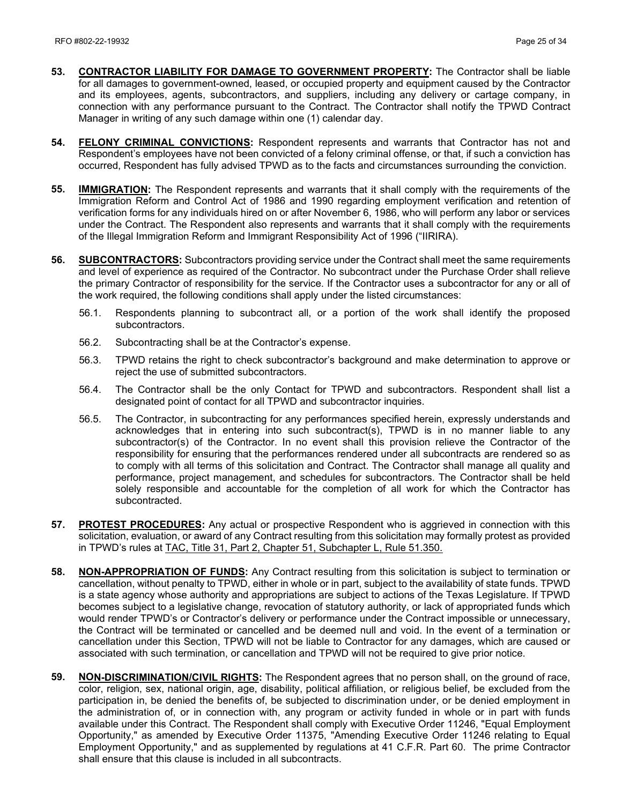- **53. CONTRACTOR LIABILITY FOR DAMAGE TO GOVERNMENT PROPERTY:** The Contractor shall be liable for all damages to government-owned, leased, or occupied property and equipment caused by the Contractor and its employees, agents, subcontractors, and suppliers, including any delivery or cartage company, in connection with any performance pursuant to the Contract. The Contractor shall notify the TPWD Contract Manager in writing of any such damage within one (1) calendar day.
- **54. FELONY CRIMINAL CONVICTIONS:** Respondent represents and warrants that Contractor has not and Respondent's employees have not been convicted of a felony criminal offense, or that, if such a conviction has occurred, Respondent has fully advised TPWD as to the facts and circumstances surrounding the conviction.
- **55. IMMIGRATION:** The Respondent represents and warrants that it shall comply with the requirements of the Immigration Reform and Control Act of 1986 and 1990 regarding employment verification and retention of verification forms for any individuals hired on or after November 6, 1986, who will perform any labor or services under the Contract. The Respondent also represents and warrants that it shall comply with the requirements of the Illegal Immigration Reform and Immigrant Responsibility Act of 1996 ("IIRIRA).
- **56. SUBCONTRACTORS:** Subcontractors providing service under the Contract shall meet the same requirements and level of experience as required of the Contractor. No subcontract under the Purchase Order shall relieve the primary Contractor of responsibility for the service. If the Contractor uses a subcontractor for any or all of the work required, the following conditions shall apply under the listed circumstances:
	- 56.1. Respondents planning to subcontract all, or a portion of the work shall identify the proposed subcontractors.
	- 56.2. Subcontracting shall be at the Contractor's expense.
	- 56.3. TPWD retains the right to check subcontractor's background and make determination to approve or reject the use of submitted subcontractors.
	- 56.4. The Contractor shall be the only Contact for TPWD and subcontractors. Respondent shall list a designated point of contact for all TPWD and subcontractor inquiries.
	- 56.5. The Contractor, in subcontracting for any performances specified herein, expressly understands and acknowledges that in entering into such subcontract(s), TPWD is in no manner liable to any subcontractor(s) of the Contractor. In no event shall this provision relieve the Contractor of the responsibility for ensuring that the performances rendered under all subcontracts are rendered so as to comply with all terms of this solicitation and Contract. The Contractor shall manage all quality and performance, project management, and schedules for subcontractors. The Contractor shall be held solely responsible and accountable for the completion of all work for which the Contractor has subcontracted.
- **57. PROTEST PROCEDURES:** Any actual or prospective Respondent who is aggrieved in connection with this solicitation, evaluation, or award of any Contract resulting from this solicitation may formally protest as provided in TPWD's rules at [TAC, Title 31, Part 2, Chapter 51, Subchapter L, Rule 51.350.](http://texreg.sos.state.tx.us/public/readtac$ext.TacPage?sl=R&app=9&p_dir=&p_rloc=&p_tloc=&p_ploc=&pg=1&p_tac=&ti=31&pt=2&ch=51&rl=350)
- **58. NON-APPROPRIATION OF FUNDS:** Any Contract resulting from this solicitation is subject to termination or cancellation, without penalty to TPWD, either in whole or in part, subject to the availability of state funds. TPWD is a state agency whose authority and appropriations are subject to actions of the Texas Legislature. If TPWD becomes subject to a legislative change, revocation of statutory authority, or lack of appropriated funds which would render TPWD's or Contractor's delivery or performance under the Contract impossible or unnecessary, the Contract will be terminated or cancelled and be deemed null and void. In the event of a termination or cancellation under this Section, TPWD will not be liable to Contractor for any damages, which are caused or associated with such termination, or cancellation and TPWD will not be required to give prior notice.
- **59. NON-DISCRIMINATION/CIVIL RIGHTS:** The Respondent agrees that no person shall, on the ground of race, color, religion, sex, national origin, age, disability, political affiliation, or religious belief, be excluded from the participation in, be denied the benefits of, be subjected to discrimination under, or be denied employment in the administration of, or in connection with, any program or activity funded in whole or in part with funds available under this Contract. The Respondent shall comply with Executive Order 11246, "Equal Employment Opportunity," as amended by Executive Order 11375, "Amending Executive Order 11246 relating to Equal Employment Opportunity," and as supplemented by regulations at 41 C.F.R. Part 60. The prime Contractor shall ensure that this clause is included in all subcontracts.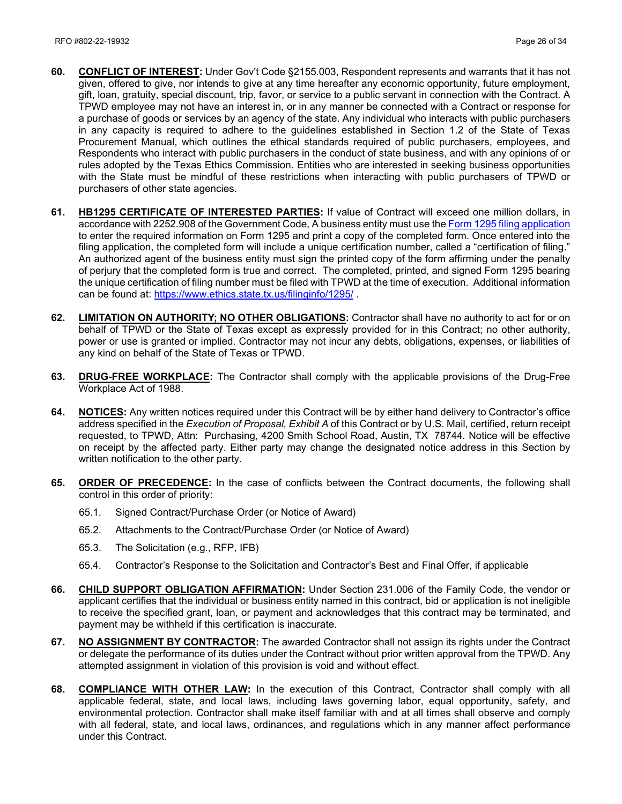- **60. CONFLICT OF INTEREST:** Under Gov't Code §2155.003, Respondent represents and warrants that it has not given, offered to give, nor intends to give at any time hereafter any economic opportunity, future employment, gift, loan, gratuity, special discount, trip, favor, or service to a public servant in connection with the Contract. A TPWD employee may not have an interest in, or in any manner be connected with a Contract or response for a purchase of goods or services by an agency of the state. Any individual who interacts with public purchasers in any capacity is required to adhere to the guidelines established in Section 1.2 of the State of Texas Procurement Manual, which outlines the ethical standards required of public purchasers, employees, and Respondents who interact with public purchasers in the conduct of state business, and with any opinions of or rules adopted by the Texas Ethics Commission. Entities who are interested in seeking business opportunities with the State must be mindful of these restrictions when interacting with public purchasers of TPWD or purchasers of other state agencies.
- **61. HB1295 CERTIFICATE OF INTERESTED PARTIES:** If value of Contract will exceed one million dollars, in accordance with 2252.908 of the Government Code, A business entity must use th[e Form 1295 filing application](https://www.ethics.state.tx.us/whatsnew/elf_info_form1295.htm) to enter the required information on Form 1295 and print a copy of the completed form. Once entered into the filing application, the completed form will include a unique certification number, called a "certification of filing." An authorized agent of the business entity must sign the printed copy of the form affirming under the penalty of perjury that the completed form is true and correct. The completed, printed, and signed Form 1295 bearing the unique certification of filing number must be filed with TPWD at the time of execution. Additional information can be found at:<https://www.ethics.state.tx.us/filinginfo/1295/> .
- **62. LIMITATION ON AUTHORITY; NO OTHER OBLIGATIONS:** Contractor shall have no authority to act for or on behalf of TPWD or the State of Texas except as expressly provided for in this Contract; no other authority, power or use is granted or implied. Contractor may not incur any debts, obligations, expenses, or liabilities of any kind on behalf of the State of Texas or TPWD.
- **63. DRUG-FREE WORKPLACE:** The Contractor shall comply with the applicable provisions of the Drug-Free Workplace Act of 1988.
- **64. NOTICES:** Any written notices required under this Contract will be by either hand delivery to Contractor's office address specified in the *Execution of Proposal, Exhibit A* of this Contract or by U.S. Mail, certified, return receipt requested, to TPWD, Attn: Purchasing, 4200 Smith School Road, Austin, TX 78744*.* Notice will be effective on receipt by the affected party. Either party may change the designated notice address in this Section by written notification to the other party.
- **65. ORDER OF PRECEDENCE:** In the case of conflicts between the Contract documents, the following shall control in this order of priority:
	- 65.1. Signed Contract/Purchase Order (or Notice of Award)
	- 65.2. Attachments to the Contract/Purchase Order (or Notice of Award)
	- 65.3. The Solicitation (e.g., RFP, IFB)
	- 65.4. Contractor's Response to the Solicitation and Contractor's Best and Final Offer, if applicable
- **66. CHILD SUPPORT OBLIGATION AFFIRMATION:** Under Section 231.006 of the Family Code, the vendor or applicant certifies that the individual or business entity named in this contract, bid or application is not ineligible to receive the specified grant, loan, or payment and acknowledges that this contract may be terminated, and payment may be withheld if this certification is inaccurate.
- **67. NO ASSIGNMENT BY CONTRACTOR:** The awarded Contractor shall not assign its rights under the Contract or delegate the performance of its duties under the Contract without prior written approval from the TPWD. Any attempted assignment in violation of this provision is void and without effect.
- **68. COMPLIANCE WITH OTHER LAW:** In the execution of this Contract, Contractor shall comply with all applicable federal, state, and local laws, including laws governing labor, equal opportunity, safety, and environmental protection. Contractor shall make itself familiar with and at all times shall observe and comply with all federal, state, and local laws, ordinances, and regulations which in any manner affect performance under this Contract.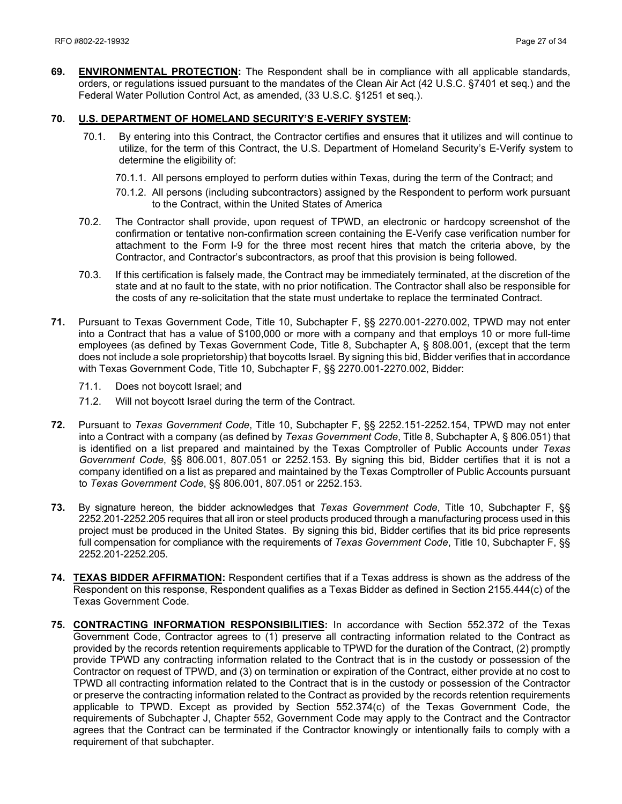**69. ENVIRONMENTAL PROTECTION:** The Respondent shall be in compliance with all applicable standards, orders, or regulations issued pursuant to the mandates of the Clean Air Act (42 U.S.C. §7401 et seq.) and the Federal Water Pollution Control Act, as amended, (33 U.S.C. §1251 et seq.).

#### **70. U.S. DEPARTMENT OF HOMELAND SECURITY'S E-VERIFY SYSTEM:**

- 70.1. By entering into this Contract, the Contractor certifies and ensures that it utilizes and will continue to utilize, for the term of this Contract, the U.S. Department of Homeland Security's E-Verify system to determine the eligibility of:
	- 70.1.1. All persons employed to perform duties within Texas, during the term of the Contract; and
	- 70.1.2. All persons (including subcontractors) assigned by the Respondent to perform work pursuant to the Contract, within the United States of America
- 70.2. The Contractor shall provide, upon request of TPWD, an electronic or hardcopy screenshot of the confirmation or tentative non-confirmation screen containing the E-Verify case verification number for attachment to the Form I-9 for the three most recent hires that match the criteria above, by the Contractor, and Contractor's subcontractors, as proof that this provision is being followed.
- 70.3. If this certification is falsely made, the Contract may be immediately terminated, at the discretion of the state and at no fault to the state, with no prior notification. The Contractor shall also be responsible for the costs of any re-solicitation that the state must undertake to replace the terminated Contract.
- **71.** Pursuant to Texas Government Code, Title 10, Subchapter F, §§ 2270.001-2270.002, TPWD may not enter into a Contract that has a value of \$100,000 or more with a company and that employs 10 or more full-time employees (as defined by Texas Government Code, Title 8, Subchapter A, § 808.001, (except that the term does not include a sole proprietorship) that boycotts Israel. By signing this bid, Bidder verifies that in accordance with Texas Government Code, Title 10, Subchapter F, §§ 2270.001-2270.002, Bidder:
	- 71.1. Does not boycott Israel; and
	- 71.2. Will not boycott Israel during the term of the Contract.
- **72.** Pursuant to *Texas Government Code*, Title 10, Subchapter F, §§ 2252.151-2252.154, TPWD may not enter into a Contract with a company (as defined by *Texas Government Code*, Title 8, Subchapter A, § 806.051) that is identified on a list prepared and maintained by the Texas Comptroller of Public Accounts under *Texas Government Code*, §§ 806.001, 807.051 or 2252.153. By signing this bid, Bidder certifies that it is not a company identified on a list as prepared and maintained by the Texas Comptroller of Public Accounts pursuant to *Texas Government Code*, §§ 806.001, 807.051 or 2252.153.
- **73.** By signature hereon, the bidder acknowledges that *Texas Government Code*, Title 10, Subchapter F, §§ 2252.201-2252.205 requires that all iron or steel products produced through a manufacturing process used in this project must be produced in the United States. By signing this bid, Bidder certifies that its bid price represents full compensation for compliance with the requirements of *Texas Government Code*, Title 10, Subchapter F, §§ 2252.201-2252.205.
- **74. TEXAS BIDDER AFFIRMATION:** Respondent certifies that if a Texas address is shown as the address of the Respondent on this response, Respondent qualifies as a Texas Bidder as defined in Section 2155.444(c) of the Texas Government Code.
- **75. CONTRACTING INFORMATION RESPONSIBILITIES:** In accordance with Section 552.372 of the Texas Government Code, Contractor agrees to (1) preserve all contracting information related to the Contract as provided by the records retention requirements applicable to TPWD for the duration of the Contract, (2) promptly provide TPWD any contracting information related to the Contract that is in the custody or possession of the Contractor on request of TPWD, and (3) on termination or expiration of the Contract, either provide at no cost to TPWD all contracting information related to the Contract that is in the custody or possession of the Contractor or preserve the contracting information related to the Contract as provided by the records retention requirements applicable to TPWD. Except as provided by Section 552.374(c) of the Texas Government Code, the requirements of Subchapter J, Chapter 552, Government Code may apply to the Contract and the Contractor agrees that the Contract can be terminated if the Contractor knowingly or intentionally fails to comply with a requirement of that subchapter.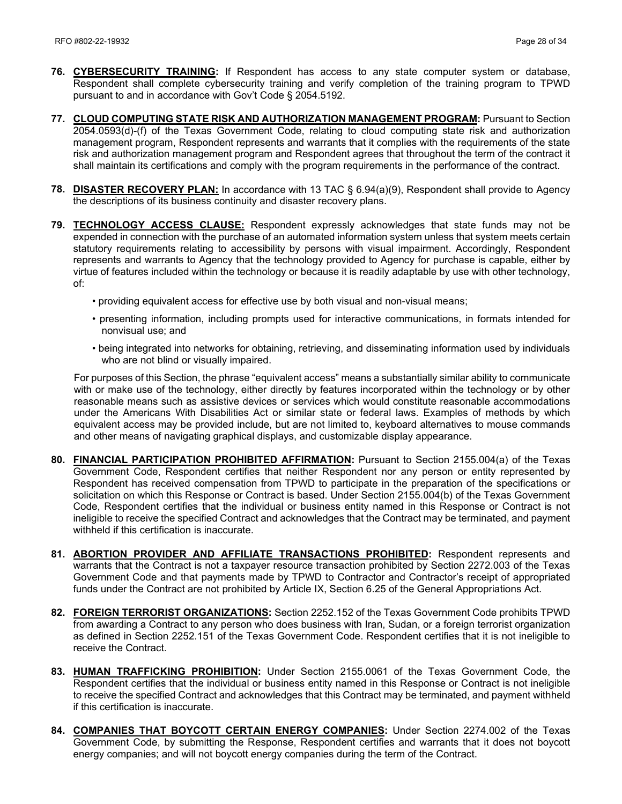- **76. CYBERSECURITY TRAINING:** If Respondent has access to any state computer system or database, Respondent shall complete cybersecurity training and verify completion of the training program to TPWD pursuant to and in accordance with Gov't Code § 2054.5192.
- **77. CLOUD COMPUTING STATE RISK AND AUTHORIZATION MANAGEMENT PROGRAM:** Pursuant to Section 2054.0593(d)-(f) of the Texas Government Code, relating to cloud computing state risk and authorization management program, Respondent represents and warrants that it complies with the requirements of the state risk and authorization management program and Respondent agrees that throughout the term of the contract it shall maintain its certifications and comply with the program requirements in the performance of the contract.
- **78. DISASTER RECOVERY PLAN:** In accordance with 13 TAC § 6.94(a)(9), Respondent shall provide to Agency the descriptions of its business continuity and disaster recovery plans.
- **79. TECHNOLOGY ACCESS CLAUSE:** Respondent expressly acknowledges that state funds may not be expended in connection with the purchase of an automated information system unless that system meets certain statutory requirements relating to accessibility by persons with visual impairment. Accordingly, Respondent represents and warrants to Agency that the technology provided to Agency for purchase is capable, either by virtue of features included within the technology or because it is readily adaptable by use with other technology, of:
	- providing equivalent access for effective use by both visual and non-visual means;
	- presenting information, including prompts used for interactive communications, in formats intended for nonvisual use; and
	- being integrated into networks for obtaining, retrieving, and disseminating information used by individuals who are not blind or visually impaired.

For purposes of this Section, the phrase "equivalent access" means a substantially similar ability to communicate with or make use of the technology, either directly by features incorporated within the technology or by other reasonable means such as assistive devices or services which would constitute reasonable accommodations under the Americans With Disabilities Act or similar state or federal laws. Examples of methods by which equivalent access may be provided include, but are not limited to, keyboard alternatives to mouse commands and other means of navigating graphical displays, and customizable display appearance.

- **80. FINANCIAL PARTICIPATION PROHIBITED AFFIRMATION:** Pursuant to Section 2155.004(a) of the Texas Government Code, Respondent certifies that neither Respondent nor any person or entity represented by Respondent has received compensation from TPWD to participate in the preparation of the specifications or solicitation on which this Response or Contract is based. Under Section 2155.004(b) of the Texas Government Code, Respondent certifies that the individual or business entity named in this Response or Contract is not ineligible to receive the specified Contract and acknowledges that the Contract may be terminated, and payment withheld if this certification is inaccurate.
- **81. ABORTION PROVIDER AND AFFILIATE TRANSACTIONS PROHIBITED:** Respondent represents and warrants that the Contract is not a taxpayer resource transaction prohibited by Section 2272.003 of the Texas Government Code and that payments made by TPWD to Contractor and Contractor's receipt of appropriated funds under the Contract are not prohibited by Article IX, Section 6.25 of the General Appropriations Act.
- **82. FOREIGN TERRORIST ORGANIZATIONS:** Section 2252.152 of the Texas Government Code prohibits TPWD from awarding a Contract to any person who does business with Iran, Sudan, or a foreign terrorist organization as defined in Section 2252.151 of the Texas Government Code. Respondent certifies that it is not ineligible to receive the Contract.
- **83. HUMAN TRAFFICKING PROHIBITION:** Under Section 2155.0061 of the Texas Government Code, the Respondent certifies that the individual or business entity named in this Response or Contract is not ineligible to receive the specified Contract and acknowledges that this Contract may be terminated, and payment withheld if this certification is inaccurate.
- **84. COMPANIES THAT BOYCOTT CERTAIN ENERGY COMPANIES:** Under Section 2274.002 of the Texas Government Code, by submitting the Response, Respondent certifies and warrants that it does not boycott energy companies; and will not boycott energy companies during the term of the Contract.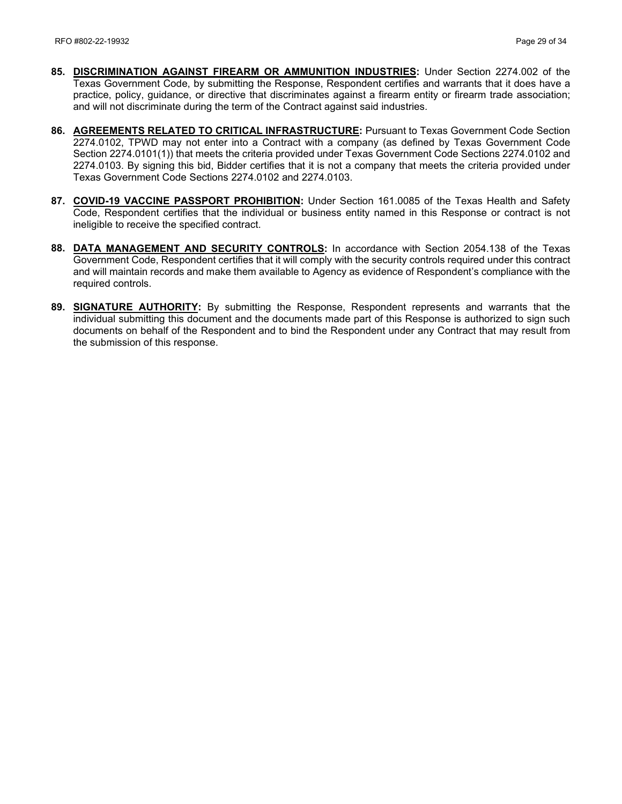- **85. DISCRIMINATION AGAINST FIREARM OR AMMUNITION INDUSTRIES:** Under Section 2274.002 of the Texas Government Code, by submitting the Response, Respondent certifies and warrants that it does have a practice, policy, guidance, or directive that discriminates against a firearm entity or firearm trade association; and will not discriminate during the term of the Contract against said industries.
- **86. AGREEMENTS RELATED TO CRITICAL INFRASTRUCTURE:** Pursuant to Texas Government Code Section 2274.0102, TPWD may not enter into a Contract with a company (as defined by Texas Government Code Section 2274.0101(1)) that meets the criteria provided under Texas Government Code Sections 2274.0102 and 2274.0103. By signing this bid, Bidder certifies that it is not a company that meets the criteria provided under Texas Government Code Sections 2274.0102 and 2274.0103.
- **87. COVID-19 VACCINE PASSPORT PROHIBITION:** Under Section 161.0085 of the Texas Health and Safety Code, Respondent certifies that the individual or business entity named in this Response or contract is not ineligible to receive the specified contract.
- **88. DATA MANAGEMENT AND SECURITY CONTROLS:** In accordance with Section 2054.138 of the Texas Government Code, Respondent certifies that it will comply with the security controls required under this contract and will maintain records and make them available to Agency as evidence of Respondent's compliance with the required controls.
- **89. SIGNATURE AUTHORITY:** By submitting the Response, Respondent represents and warrants that the individual submitting this document and the documents made part of this Response is authorized to sign such documents on behalf of the Respondent and to bind the Respondent under any Contract that may result from the submission of this response.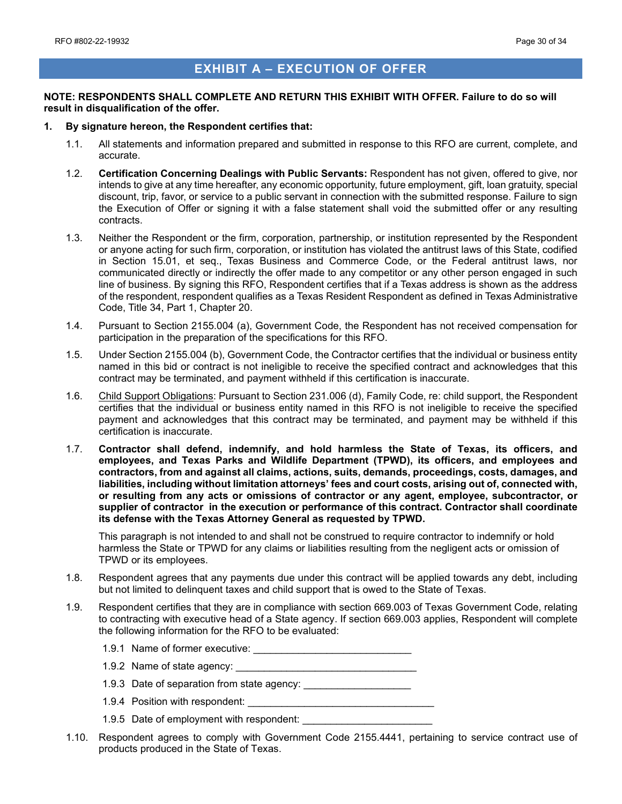# **EXHIBIT A – EXECUTION OF OFFER**

#### <span id="page-29-0"></span>**NOTE: RESPONDENTS SHALL COMPLETE AND RETURN THIS EXHIBIT WITH OFFER. Failure to do so will result in disqualification of the offer.**

#### **1. By signature hereon, the Respondent certifies that:**

- 1.1. All statements and information prepared and submitted in response to this RFO are current, complete, and accurate.
- 1.2. **Certification Concerning Dealings with Public Servants:** Respondent has not given, offered to give, nor intends to give at any time hereafter, any economic opportunity, future employment, gift, loan gratuity, special discount, trip, favor, or service to a public servant in connection with the submitted response. Failure to sign the Execution of Offer or signing it with a false statement shall void the submitted offer or any resulting contracts.
- 1.3. Neither the Respondent or the firm, corporation, partnership, or institution represented by the Respondent or anyone acting for such firm, corporation, or institution has violated the antitrust laws of this State, codified in Section 15.01, et seq., Texas Business and Commerce Code, or the Federal antitrust laws, nor communicated directly or indirectly the offer made to any competitor or any other person engaged in such line of business. By signing this RFO, Respondent certifies that if a Texas address is shown as the address of the respondent, respondent qualifies as a Texas Resident Respondent as defined in Texas Administrative Code, Title 34, Part 1, Chapter 20.
- 1.4. Pursuant to Section 2155.004 (a), Government Code, the Respondent has not received compensation for participation in the preparation of the specifications for this RFO.
- 1.5. Under Section 2155.004 (b), Government Code, the Contractor certifies that the individual or business entity named in this bid or contract is not ineligible to receive the specified contract and acknowledges that this contract may be terminated, and payment withheld if this certification is inaccurate.
- 1.6. Child Support Obligations: Pursuant to Section 231.006 (d), Family Code, re: child support, the Respondent certifies that the individual or business entity named in this RFO is not ineligible to receive the specified payment and acknowledges that this contract may be terminated, and payment may be withheld if this certification is inaccurate.
- 1.7. **Contractor shall defend, indemnify, and hold harmless the State of Texas, its officers, and employees, and Texas Parks and Wildlife Department (TPWD), its officers, and employees and contractors, from and against all claims, actions, suits, demands, proceedings, costs, damages, and liabilities, including without limitation attorneys' fees and court costs, arising out of, connected with, or resulting from any acts or omissions of contractor or any agent, employee, subcontractor, or supplier of contractor in the execution or performance of this contract. Contractor shall coordinate its defense with the Texas Attorney General as requested by TPWD.**

This paragraph is not intended to and shall not be construed to require contractor to indemnify or hold harmless the State or TPWD for any claims or liabilities resulting from the negligent acts or omission of TPWD or its employees.

- 1.8. Respondent agrees that any payments due under this contract will be applied towards any debt, including but not limited to delinquent taxes and child support that is owed to the State of Texas.
- 1.9. Respondent certifies that they are in compliance with section 669.003 of Texas Government Code, relating to contracting with executive head of a State agency. If section 669.003 applies, Respondent will complete the following information for the RFO to be evaluated:
	- 1.9.1 Name of former executive: \_\_\_\_\_\_\_\_\_\_\_\_\_\_\_\_\_\_\_\_\_\_\_\_\_\_\_\_
	- 1.9.2 Name of state agency:
	- 1.9.3 Date of separation from state agency: \_\_\_\_\_\_\_\_\_\_\_\_\_\_\_\_\_\_\_
	- 1.9.4 Position with respondent: \_\_\_\_\_\_\_\_\_\_\_\_\_\_\_\_\_\_\_\_\_\_\_\_\_\_\_\_\_\_\_\_\_
	- 1.9.5 Date of employment with respondent:
- 1.10. Respondent agrees to comply with Government Code 2155.4441, pertaining to service contract use of products produced in the State of Texas.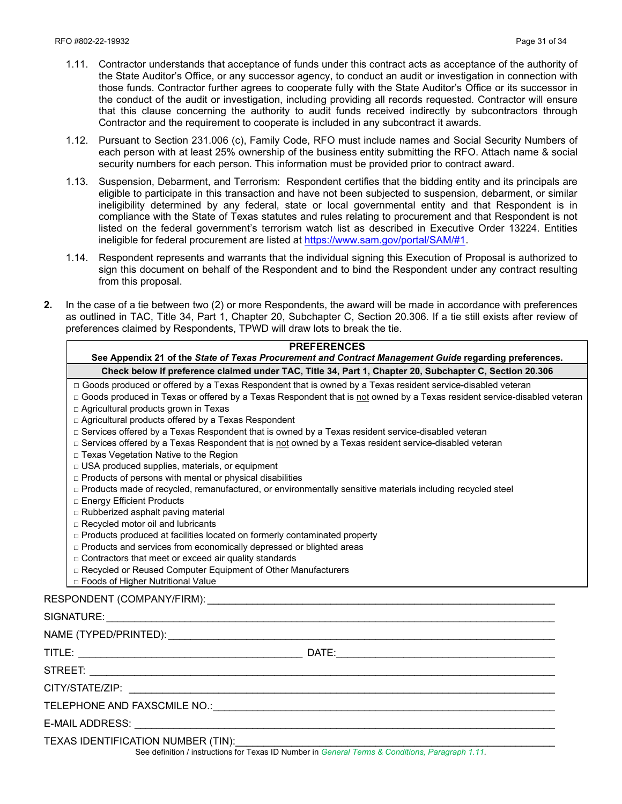- 1.11. Contractor understands that acceptance of funds under this contract acts as acceptance of the authority of the State Auditor's Office, or any successor agency, to conduct an audit or investigation in connection with those funds. Contractor further agrees to cooperate fully with the State Auditor's Office or its successor in the conduct of the audit or investigation, including providing all records requested. Contractor will ensure that this clause concerning the authority to audit funds received indirectly by subcontractors through Contractor and the requirement to cooperate is included in any subcontract it awards.
- 1.12. Pursuant to Section 231.006 (c), Family Code, RFO must include names and Social Security Numbers of each person with at least 25% ownership of the business entity submitting the RFO. Attach name & social security numbers for each person. This information must be provided prior to contract award.
- 1.13. Suspension, Debarment, and Terrorism: Respondent certifies that the bidding entity and its principals are eligible to participate in this transaction and have not been subjected to suspension, debarment, or similar ineligibility determined by any federal, state or local governmental entity and that Respondent is in compliance with the State of Texas statutes and rules relating to procurement and that Respondent is not listed on the federal government's terrorism watch list as described in Executive Order 13224. Entities ineligible for federal procurement are listed at [https://www.sam.gov/portal/SAM/#1.](https://www.sam.gov/portal/SAM/#1)
- 1.14. Respondent represents and warrants that the individual signing this Execution of Proposal is authorized to sign this document on behalf of the Respondent and to bind the Respondent under any contract resulting from this proposal.

**PREFERENCES**

**2.** In the case of a tie between two (2) or more Respondents, the award will be made in accordance with preferences as outlined in TAC, Title 34, Part 1, Chapter 20, Subchapter C, Section 20.306. If a tie still exists after review of preferences claimed by Respondents, TPWD will draw lots to break the tie.

|                                                                                                                                                                                                                                                                                                                                                                                                                                                                                                                                                                                                                                                                                                        | FNLI LNLIVULJ<br>See Appendix 21 of the State of Texas Procurement and Contract Management Guide regarding preferences.                                                                                                                                                                                                                                                                                                                                                                                                                                                     |
|--------------------------------------------------------------------------------------------------------------------------------------------------------------------------------------------------------------------------------------------------------------------------------------------------------------------------------------------------------------------------------------------------------------------------------------------------------------------------------------------------------------------------------------------------------------------------------------------------------------------------------------------------------------------------------------------------------|-----------------------------------------------------------------------------------------------------------------------------------------------------------------------------------------------------------------------------------------------------------------------------------------------------------------------------------------------------------------------------------------------------------------------------------------------------------------------------------------------------------------------------------------------------------------------------|
|                                                                                                                                                                                                                                                                                                                                                                                                                                                                                                                                                                                                                                                                                                        | Check below if preference claimed under TAC, Title 34, Part 1, Chapter 20, Subchapter C, Section 20.306                                                                                                                                                                                                                                                                                                                                                                                                                                                                     |
| □ Agricultural products grown in Texas<br>□ Agricultural products offered by a Texas Respondent<br>□ Texas Vegetation Native to the Region<br>□ USA produced supplies, materials, or equipment<br>□ Products of persons with mental or physical disabilities<br>□ Energy Efficient Products<br>□ Rubberized asphalt paving material<br>□ Recycled motor oil and lubricants<br>□ Products produced at facilities located on formerly contaminated property<br>□ Products and services from economically depressed or blighted areas<br>□ Contractors that meet or exceed air quality standards<br>□ Recycled or Reused Computer Equipment of Other Manufacturers<br>□ Foods of Higher Nutritional Value | □ Goods produced or offered by a Texas Respondent that is owned by a Texas resident service-disabled veteran<br>□ Goods produced in Texas or offered by a Texas Respondent that is not owned by a Texas resident service-disabled veteran<br>□ Services offered by a Texas Respondent that is owned by a Texas resident service-disabled veteran<br>□ Services offered by a Texas Respondent that is not owned by a Texas resident service-disabled veteran<br>□ Products made of recycled, remanufactured, or environmentally sensitive materials including recycled steel |
|                                                                                                                                                                                                                                                                                                                                                                                                                                                                                                                                                                                                                                                                                                        |                                                                                                                                                                                                                                                                                                                                                                                                                                                                                                                                                                             |
|                                                                                                                                                                                                                                                                                                                                                                                                                                                                                                                                                                                                                                                                                                        |                                                                                                                                                                                                                                                                                                                                                                                                                                                                                                                                                                             |
|                                                                                                                                                                                                                                                                                                                                                                                                                                                                                                                                                                                                                                                                                                        |                                                                                                                                                                                                                                                                                                                                                                                                                                                                                                                                                                             |
|                                                                                                                                                                                                                                                                                                                                                                                                                                                                                                                                                                                                                                                                                                        |                                                                                                                                                                                                                                                                                                                                                                                                                                                                                                                                                                             |
|                                                                                                                                                                                                                                                                                                                                                                                                                                                                                                                                                                                                                                                                                                        |                                                                                                                                                                                                                                                                                                                                                                                                                                                                                                                                                                             |
|                                                                                                                                                                                                                                                                                                                                                                                                                                                                                                                                                                                                                                                                                                        |                                                                                                                                                                                                                                                                                                                                                                                                                                                                                                                                                                             |
|                                                                                                                                                                                                                                                                                                                                                                                                                                                                                                                                                                                                                                                                                                        |                                                                                                                                                                                                                                                                                                                                                                                                                                                                                                                                                                             |
|                                                                                                                                                                                                                                                                                                                                                                                                                                                                                                                                                                                                                                                                                                        |                                                                                                                                                                                                                                                                                                                                                                                                                                                                                                                                                                             |
| TEXAS IDENTIFICATION NUMBER (TIN):                                                                                                                                                                                                                                                                                                                                                                                                                                                                                                                                                                                                                                                                     | See definition / instructions for Texas ID Number in General Terms & Conditions, Paragraph 1.11.                                                                                                                                                                                                                                                                                                                                                                                                                                                                            |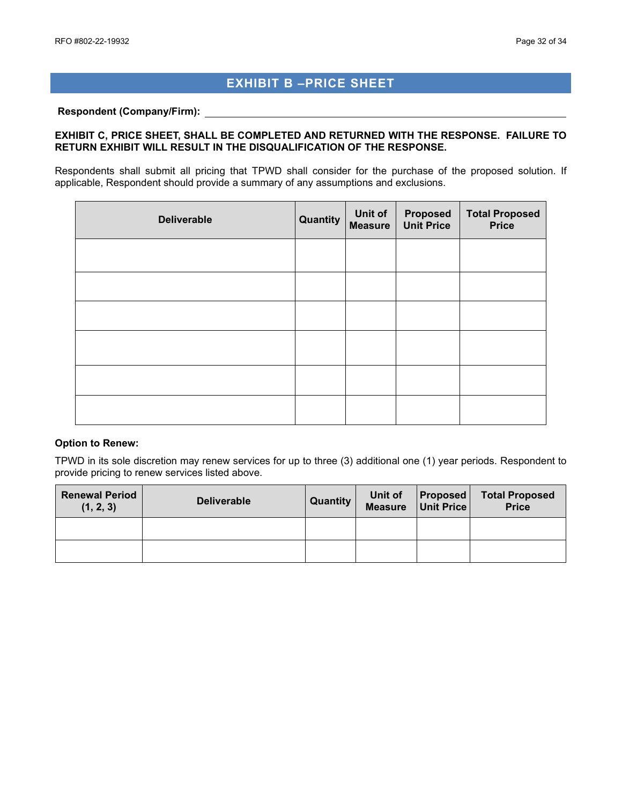# **EXHIBIT B –PRICE SHEET**

#### <span id="page-31-0"></span>**Respondent (Company/Firm):**

#### **EXHIBIT C, PRICE SHEET, SHALL BE COMPLETED AND RETURNED WITH THE RESPONSE. FAILURE TO RETURN EXHIBIT WILL RESULT IN THE DISQUALIFICATION OF THE RESPONSE.**

Respondents shall submit all pricing that TPWD shall consider for the purchase of the proposed solution. If applicable, Respondent should provide a summary of any assumptions and exclusions.

| <b>Deliverable</b> | <b>Quantity</b> | Unit of<br><b>Measure</b> | <b>Proposed</b><br><b>Unit Price</b> | <b>Total Proposed</b><br>Price |
|--------------------|-----------------|---------------------------|--------------------------------------|--------------------------------|
|                    |                 |                           |                                      |                                |
|                    |                 |                           |                                      |                                |
|                    |                 |                           |                                      |                                |
|                    |                 |                           |                                      |                                |
|                    |                 |                           |                                      |                                |
|                    |                 |                           |                                      |                                |

#### **Option to Renew:**

TPWD in its sole discretion may renew services for up to three (3) additional one (1) year periods. Respondent to provide pricing to renew services listed above.

| <b>Renewal Period</b><br>(1, 2, 3) | <b>Deliverable</b> | Quantity | Unit of<br><b>Measure</b> | <b>Proposed</b><br>Unit Price | <b>Total Proposed</b><br><b>Price</b> |
|------------------------------------|--------------------|----------|---------------------------|-------------------------------|---------------------------------------|
|                                    |                    |          |                           |                               |                                       |
|                                    |                    |          |                           |                               |                                       |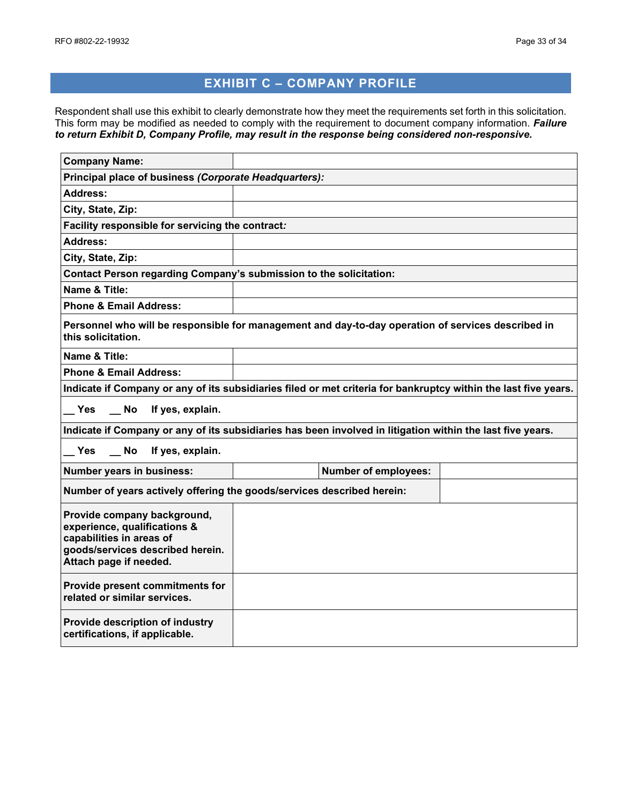# **EXHIBIT C – COMPANY PROFILE**

<span id="page-32-0"></span>Respondent shall use this exhibit to clearly demonstrate how they meet the requirements set forth in this solicitation. This form may be modified as needed to comply with the requirement to document company information. *Failure to return Exhibit D, Company Profile, may result in the response being considered non-responsive.*

| <b>Company Name:</b>                                                                                                                                  |                                                                                                                 |  |  |  |  |
|-------------------------------------------------------------------------------------------------------------------------------------------------------|-----------------------------------------------------------------------------------------------------------------|--|--|--|--|
| Principal place of business (Corporate Headquarters):                                                                                                 |                                                                                                                 |  |  |  |  |
| Address:                                                                                                                                              |                                                                                                                 |  |  |  |  |
| City, State, Zip:                                                                                                                                     |                                                                                                                 |  |  |  |  |
| Facility responsible for servicing the contract:                                                                                                      |                                                                                                                 |  |  |  |  |
| <b>Address:</b>                                                                                                                                       |                                                                                                                 |  |  |  |  |
| City, State, Zip:                                                                                                                                     |                                                                                                                 |  |  |  |  |
| Contact Person regarding Company's submission to the solicitation:                                                                                    |                                                                                                                 |  |  |  |  |
| Name & Title:                                                                                                                                         |                                                                                                                 |  |  |  |  |
| <b>Phone &amp; Email Address:</b>                                                                                                                     |                                                                                                                 |  |  |  |  |
| this solicitation.                                                                                                                                    | Personnel who will be responsible for management and day-to-day operation of services described in              |  |  |  |  |
| Name & Title:                                                                                                                                         |                                                                                                                 |  |  |  |  |
| <b>Phone &amp; Email Address:</b>                                                                                                                     |                                                                                                                 |  |  |  |  |
|                                                                                                                                                       | Indicate if Company or any of its subsidiaries filed or met criteria for bankruptcy within the last five years. |  |  |  |  |
| $\overline{\phantom{0}}$ No<br>Yes<br>If yes, explain.                                                                                                |                                                                                                                 |  |  |  |  |
|                                                                                                                                                       | Indicate if Company or any of its subsidiaries has been involved in litigation within the last five years.      |  |  |  |  |
| <b>No</b><br>If yes, explain.<br>Yes                                                                                                                  |                                                                                                                 |  |  |  |  |
| Number years in business:                                                                                                                             | <b>Number of employees:</b>                                                                                     |  |  |  |  |
|                                                                                                                                                       | Number of years actively offering the goods/services described herein:                                          |  |  |  |  |
| Provide company background,<br>experience, qualifications &<br>capabilities in areas of<br>goods/services described herein.<br>Attach page if needed. |                                                                                                                 |  |  |  |  |
| Provide present commitments for<br>related or similar services.                                                                                       |                                                                                                                 |  |  |  |  |
| Provide description of industry<br>certifications, if applicable.                                                                                     |                                                                                                                 |  |  |  |  |